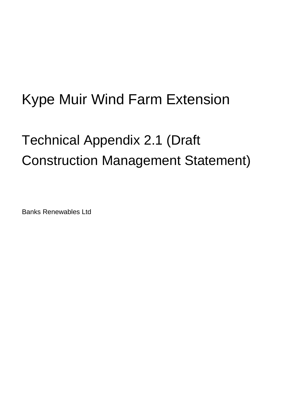# Kype Muir Wind Farm Extension

# Technical Appendix 2.1 (Draft Construction Management Statement)

Banks Renewables Ltd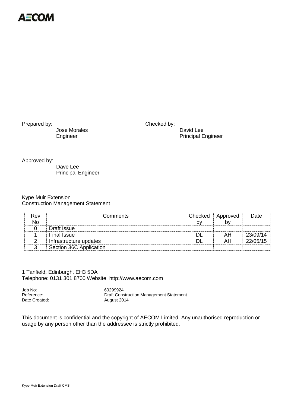

Jose Morales David Lee

Prepared by: ................................................. Checked by:

Engineer Principal Engineer

Approved by:

Dave Lee Principal Engineer

#### Kype Muir Extension Construction Management Statement

| Rev<br><b>No</b> | <b>Comments</b>         | Checked<br>by | Approved<br>bv | Date     |
|------------------|-------------------------|---------------|----------------|----------|
|                  | Draft Issue             |               |                |          |
|                  | <b>Final Issue</b>      | DI            | AH             | 23/09/14 |
|                  | Infrastructure updates  | Dl            | AH             | 22/05/15 |
| 2                | Section 36C Application |               |                |          |

1 Tanfield, Edinburgh, EH3 5DA Telephone: 0131 301 8700 Website: http://www.aecom.com

Job No: 60299924 Reference: Construction Management Statement<br>
Date Created: Construction Management Statement<br>
Date Created: August 2014

This document is confidential and the copyright of AECOM Limited. Any unauthorised reproduction or usage by any person other than the addressee is strictly prohibited.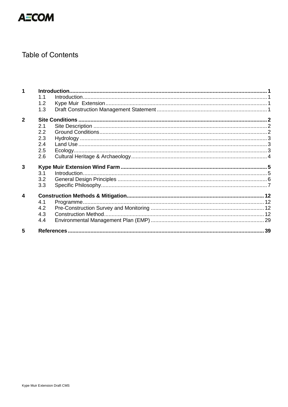

# **Table of Contents**

|                         | 1.1 |  |
|-------------------------|-----|--|
|                         | 1.2 |  |
|                         | 1.3 |  |
| $\overline{2}$          |     |  |
|                         | 2.1 |  |
|                         | 2.2 |  |
|                         | 2.3 |  |
|                         | 2.4 |  |
|                         | 2.5 |  |
|                         | 2.6 |  |
| 3                       |     |  |
|                         | 3.1 |  |
|                         | 3.2 |  |
|                         | 3.3 |  |
| $\overline{\mathbf{4}}$ |     |  |
|                         | 4.1 |  |
|                         | 4.2 |  |
|                         | 4.3 |  |
|                         | 4.4 |  |
|                         |     |  |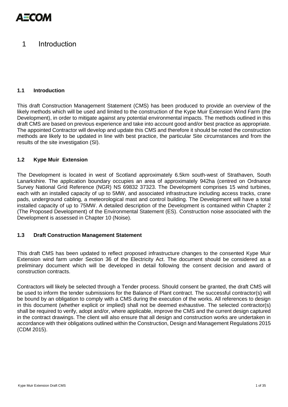

# <span id="page-3-0"></span>1 Introduction

#### <span id="page-3-1"></span>**1.1 Introduction**

This draft Construction Management Statement (CMS) has been produced to provide an overview of the likely methods which will be used and limited to the construction of the Kype Muir Extension Wind Farm (the Development), in order to mitigate against any potential environmental impacts. The methods outlined in this draft CMS are based on previous experience and take into account good and/or best practice as appropriate. The appointed Contractor will develop and update this CMS and therefore it should be noted the construction methods are likely to be updated in line with best practice, the particular Site circumstances and from the results of the site investigation (SI).

#### <span id="page-3-2"></span>**1.2 Kype Muir Extension**

The Development is located in west of Scotland approximately 6.5km south-west of Strathaven, South Lanarkshire. The application boundary occupies an area of approximately 942ha (centred on Ordnance Survey National Grid Reference (NGR) NS 69832 37323. The Development comprises 15 wind turbines, each with an installed capacity of up to 5MW, and associated infrastructure including access tracks, crane pads, underground cabling, a meteorological mast and control building. The Development will have a total installed capacity of up to 75MW. A detailed description of the Development is contained within Chapter 2 (The Proposed Development) of the Environmental Statement (ES). Construction noise associated with the Development is assessed in Chapter 10 (Noise).

#### <span id="page-3-3"></span>**1.3 Draft Construction Management Statement**

This draft CMS has been updated to reflect proposed infrastructure changes to the consented Kype Muir Extension wind farm under Section 36 of the Electricity Act. The document should be considered as a preliminary document which will be developed in detail following the consent decision and award of construction contracts.

Contractors will likely be selected through a Tender process. Should consent be granted, the draft CMS will be used to inform the tender submissions for the Balance of Plant contract. The successful contractor(s) will be bound by an obligation to comply with a CMS during the execution of the works. All references to design in this document (whether explicit or implied) shall not be deemed exhaustive. The selected contractor(s) shall be required to verify, adopt and/or, where applicable, improve the CMS and the current design captured in the contract drawings. The client will also ensure that all design and construction works are undertaken in accordance with their obligations outlined within the Construction, Design and Management Regulations 2015 (CDM 2015).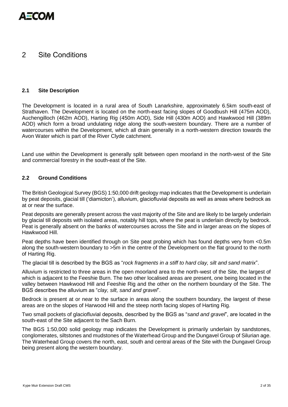

# <span id="page-4-0"></span>2 Site Conditions

#### <span id="page-4-1"></span>**2.1 Site Description**

The Development is located in a rural area of South Lanarkshire, approximately 6.5km south-east of Strathaven. The Development is located on the north-east facing slopes of Goodbush Hill (475m AOD), Auchengilloch (462m AOD), Harting Rig (450m AOD), Side Hill (430m AOD) and Hawkwood Hill (389m AOD) which form a broad undulating ridge along the south-western boundary. There are a number of watercourses within the Development, which all drain generally in a north-western direction towards the Avon Water which is part of the River Clyde catchment.

Land use within the Development is generally split between open moorland in the north-west of the Site and commercial forestry in the south-east of the Site.

#### <span id="page-4-2"></span>**2.2 Ground Conditions**

The British Geological Survey (BGS) 1:50,000 drift geology map indicates that the Development is underlain by peat deposits, glacial till ('diamicton'), alluvium, glaciofluvial deposits as well as areas where bedrock as at or near the surface.

Peat deposits are generally present across the vast majority of the Site and are likely to be largely underlain by glacial till deposits with isolated areas, notably hill tops, where the peat is underlain directly by bedrock. Peat is generally absent on the banks of watercourses across the Site and in larger areas on the slopes of Hawkwood Hill.

Peat depths have been identified through on Site peat probing which has found depths very from <0.5m along the south-western boundary to >5m in the centre of the Development on the flat ground to the north of Harting Rig.

The glacial till is described by the BGS as "*rock fragments in a stiff to hard clay, silt and sand matrix*".

Alluvium is restricted to three areas in the open moorland area to the north-west of the Site, the largest of which is adjacent to the Feeshie Burn. The two other localised areas are present, one being located in the valley between Hawkwood Hill and Feeshie Rig and the other on the northern boundary of the Site. The BGS describes the alluvium as "*clay, silt, sand and gravel*".

Bedrock is present at or near to the surface in areas along the southern boundary, the largest of these areas are on the slopes of Harwood Hill and the steep north facing slopes of Harting Rig.

Two small pockets of glaciofluvial deposits, described by the BGS as "*sand and gravel*", are located in the south-east of the Site adjacent to the Sach Burn.

The BGS 1:50,000 solid geology map indicates the Development is primarily underlain by sandstones, conglomerates, siltstones and mudstones of the Waterhead Group and the Dungavel Group of Silurian age. The Waterhead Group covers the north, east, south and central areas of the Site with the Dungavel Group being present along the western boundary.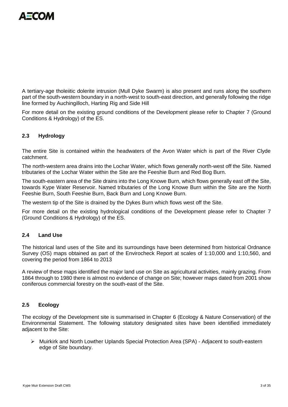

A tertiary-age tholeiitic dolerite intrusion (Mull Dyke Swarm) is also present and runs along the southern part of the south-western boundary in a north-west to south-east direction, and generally following the ridge line formed by Auchingilloch, Harting Rig and Side Hill

For more detail on the existing ground conditions of the Development please refer to Chapter 7 (Ground Conditions & Hydrology) of the ES.

# <span id="page-5-0"></span>**2.3 Hydrology**

The entire Site is contained within the headwaters of the Avon Water which is part of the River Clyde catchment.

The north-western area drains into the Lochar Water, which flows generally north-west off the Site. Named tributaries of the Lochar Water within the Site are the Feeshie Burn and Red Bog Burn.

The south-eastern area of the Site drains into the Long Knowe Burn, which flows generally east off the Site, towards Kype Water Reservoir. Named tributaries of the Long Knowe Burn within the Site are the North Feeshie Burn, South Feeshie Burn, Back Burn and Long Knowe Burn.

The western tip of the Site is drained by the Dykes Burn which flows west off the Site.

For more detail on the existing hydrological conditions of the Development please refer to Chapter 7 (Ground Conditions & Hydrology) of the ES.

#### <span id="page-5-1"></span>**2.4 Land Use**

The historical land uses of the Site and its surroundings have been determined from historical Ordnance Survey (OS) maps obtained as part of the Envirocheck Report at scales of 1:10,000 and 1:10,560, and covering the period from 1864 to 2013

A review of these maps identified the major land use on Site as agricultural activities, mainly grazing. From 1864 through to 1980 there is almost no evidence of change on Site; however maps dated from 2001 show coniferous commercial forestry on the south-east of the Site.

#### <span id="page-5-2"></span>**2.5 Ecology**

The ecology of the Development site is summarised in Chapter 6 (Ecology & Nature Conservation) of the Environmental Statement. The following statutory designated sites have been identified immediately adjacent to the Site:

 Muirkirk and North Lowther Uplands Special Protection Area (SPA) - Adjacent to south-eastern edge of Site boundary.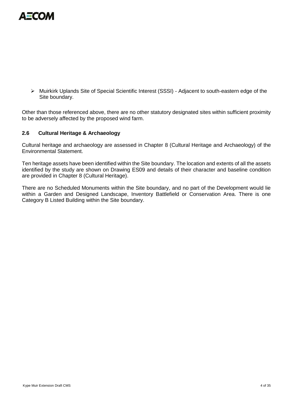

 Muirkirk Uplands Site of Special Scientific Interest (SSSI) - Adjacent to south-eastern edge of the Site boundary.

Other than those referenced above, there are no other statutory designated sites within sufficient proximity to be adversely affected by the proposed wind farm.

#### <span id="page-6-0"></span>**2.6 Cultural Heritage & Archaeology**

Cultural heritage and archaeology are assessed in Chapter 8 (Cultural Heritage and Archaeology) of the Environmental Statement.

Ten heritage assets have been identified within the Site boundary. The location and extents of all the assets identified by the study are shown on Drawing ES09 and details of their character and baseline condition are provided in Chapter 8 (Cultural Heritage).

There are no Scheduled Monuments within the Site boundary, and no part of the Development would lie within a Garden and Designed Landscape, Inventory Battlefield or Conservation Area. There is one Category B Listed Building within the Site boundary.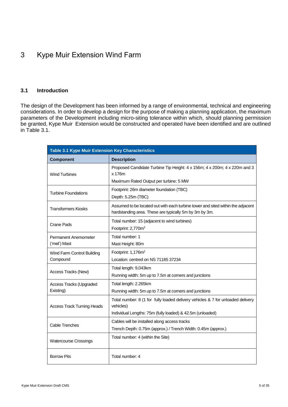# <span id="page-7-0"></span>3 Kype Muir Extension Wind Farm

#### <span id="page-7-1"></span>**3.1 Introduction**

The design of the Development has been informed by a range of environmental, technical and engineering considerations. In order to develop a design for the purpose of making a planning application, the maximum parameters of the Development including micro-siting tolerance within which, should planning permission be granted, Kype Muir Extension would be constructed and operated have been identified and are outlined in Table 3.1.

| <b>Table 3.1 Kype Muir Extension Key Characteristics</b> |                                                                                                                                                           |  |  |
|----------------------------------------------------------|-----------------------------------------------------------------------------------------------------------------------------------------------------------|--|--|
| <b>Component</b>                                         | <b>Description</b>                                                                                                                                        |  |  |
| <b>Wind Turbines</b>                                     | Proposed Candidate Turbine Tip Height: 4 x 156m; 4 x 200m; 4 x 220m and 3<br>x 176m<br>Maximum Rated Output per turbine: 5 MW                             |  |  |
| <b>Turbine Foundations</b>                               | Footprint: 26m diameter foundation (TBC)<br>Depth: 5.25m (TBC)                                                                                            |  |  |
| <b>Transformers Kiosks</b>                               | Assumed to be located out with each turbine tower and sited within the adjacent<br>hardstanding area. These are typically 5m by 3m by 3m.                 |  |  |
| <b>Crane Pads</b>                                        | Total number: 15 (adjacent to wind turbines)<br>Footprint: 2,770m <sup>2</sup>                                                                            |  |  |
| Permanent Anemometer<br>('met') Mast                     | Total number: 1<br>Mast Height: 80m                                                                                                                       |  |  |
| Wind Farm Control Building<br>Compound                   | Footprint: 1,176m <sup>2</sup><br>Location: centred on NS 71185 37234                                                                                     |  |  |
| Access Tracks (New)                                      | Total length: 9,043km<br>Running width: 5m up to 7.5m at corners and junctions                                                                            |  |  |
| <b>Access Tracks (Upgraded</b><br>Existing)              | Total length: 2.265km<br>Running width: 5m up to 7.5m at corners and junctions                                                                            |  |  |
| <b>Access Track Turning Heads</b>                        | Total number: 8 (1 for fully loaded delivery vehicles & 7 for unloaded delivery<br>vehicles)<br>Individual Lengths: 75m (fully loaded) & 42.5m (unloaded) |  |  |
| Cable Trenches                                           | Cables will be installed along access tracks<br>Trench Depth: 0.75m (approx.) / Trench Width: 0.45m (approx.)                                             |  |  |
| <b>Watercourse Crossings</b>                             | Total number: 4 (within the Site)                                                                                                                         |  |  |
| <b>Borrow Pits</b>                                       | Total number: 4                                                                                                                                           |  |  |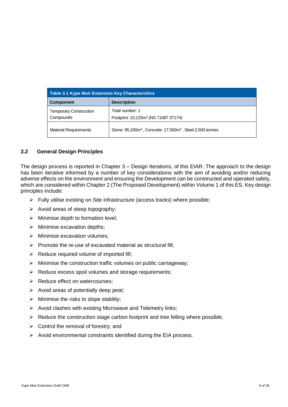| <b>Table 3.1 Kype Muir Extension Key Characteristics</b> |                                                                                   |  |  |
|----------------------------------------------------------|-----------------------------------------------------------------------------------|--|--|
| <b>Component</b>                                         | <b>Description</b>                                                                |  |  |
| <b>Temporary Construction</b><br>Compounds               | Total number: 1<br>Footprint: 10,125m <sup>2</sup> (NS 71087 37174)               |  |  |
| <b>Material Requirements</b>                             | Stone: 95,200m <sup>3</sup> , Concrete: 17,500m <sup>3</sup> , Steel:2,500 tonnes |  |  |

#### <span id="page-8-0"></span>**3.2 General Design Principles**

The design process is reported in Chapter 3 – Design Iterations, of this EIAR. The approach to the design has been iterative informed by a number of key considerations with the aim of avoiding and/or reducing adverse effects on the environment and ensuring the Development can be constructed and operated safely, which are considered within Chapter 2 (The Proposed Development) within Volume 1 of this ES. Key design principles include:

- $\triangleright$  Fully utilise existing on Site infrastructure (access tracks) where possible;
- $\triangleright$  Avoid areas of steep topography;
- $\triangleright$  Minimise depth to formation level;
- $\triangleright$  Minimise excavation depths;
- $\triangleright$  Minimise excavation volumes;
- $\triangleright$  Promote the re-use of excavated material as structural fill;
- $\triangleright$  Reduce required volume of imported fill;
- $\triangleright$  Minimise the construction traffic volumes on public carriageway;
- $\triangleright$  Reduce excess spoil volumes and storage requirements;
- $\triangleright$  Reduce effect on watercourses:
- $\triangleright$  Avoid areas of potentially deep peat;
- $\triangleright$  Minimise the risks to slope stability;
- $\triangleright$  Avoid clashes with existing Microwave and Telemetry links;
- $\triangleright$  Reduce the construction stage carbon footprint and tree felling where possible;
- $\triangleright$  Control the removal of forestry; and
- $\triangleright$  Avoid environmental constraints identified during the EIA process.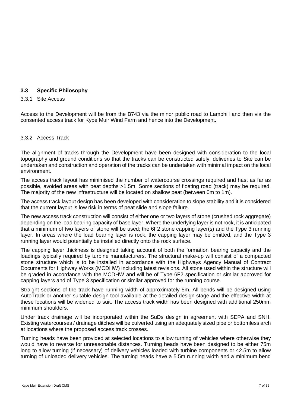# <span id="page-9-0"></span>**3.3 Specific Philosophy**

#### 3.3.1 Site Access

Access to the Development will be from the B743 via the minor public road to Lambhill and then via the consented access track for Kype Muir Wind Farm and hence into the Development.

#### 3.3.2 Access Track

The alignment of tracks through the Development have been designed with consideration to the local topography and ground conditions so that the tracks can be constructed safely, deliveries to Site can be undertaken and construction and operation of the tracks can be undertaken with minimal impact on the local environment.

The access track layout has minimised the number of watercourse crossings required and has, as far as possible, avoided areas with peat depths >1.5m. Some sections of floating road (track) may be required. The majority of the new infrastructure will be located on shallow peat (between 0m to 1m).

The access track layout design has been developed with consideration to slope stability and it is considered that the current layout is low risk in terms of peat slide and slope failure.

The new access track construction will consist of either one or two layers of stone (crushed rock aggregate) depending on the load bearing capacity of base layer. Where the underlying layer is not rock, it is anticipated that a minimum of two layers of stone will be used; the 6F2 stone capping layer(s) and the Type 3 running layer. In areas where the load bearing layer is rock, the capping layer may be omitted, and the Type 3 running layer would potentially be installed directly onto the rock surface.

The capping layer thickness is designed taking account of both the formation bearing capacity and the loadings typically required by turbine manufacturers. The structural make-up will consist of a compacted stone structure which is to be installed in accordance with the Highways Agency Manual of Contract Documents for Highway Works (MCDHW) including latest revisions. All stone used within the structure will be graded in accordance with the MCDHW and will be of Type 6F2 specification or similar approved for capping layers and of Type 3 specification or similar approved for the running course.

Straight sections of the track have running width of approximately 5m. All bends will be designed using AutoTrack or another suitable design tool available at the detailed design stage and the effective width at these locations will be widened to suit. The access track width has been designed with additional 250mm minimum shoulders.

Under track drainage will be incorporated within the SuDs design in agreement with SEPA and SNH. Existing watercourses / drainage ditches will be culverted using an adequately sized pipe or bottomless arch at locations where the proposed access track crosses.

Turning heads have been provided at selected locations to allow turning of vehicles where otherwise they would have to reverse for unreasonable distances. Turning heads have been designed to be either 75m long to allow turning (if necessary) of delivery vehicles loaded with turbine components or 42.5m to allow turning of unloaded delivery vehicles. The turning heads have a 5.5m running width and a minimum bend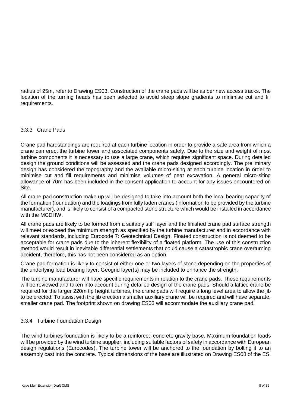radius of 25m, refer to Drawing ES03. Construction of the crane pads will be as per new access tracks. The location of the turning heads has been selected to avoid steep slope gradients to minimise cut and fill requirements.

#### 3.3.3 Crane Pads

Crane pad hardstandings are required at each turbine location in order to provide a safe area from which a crane can erect the turbine tower and associated components safely. Due to the size and weight of most turbine components it is necessary to use a large crane, which requires significant space. During detailed design the ground conditions will be assessed and the crane pads designed accordingly. The preliminary design has considered the topography and the available micro-siting at each turbine location in order to minimise cut and fill requirements and minimise volumes of peat excavation. A general micro-siting allowance of 70m has been included in the consent application to account for any issues encountered on Site.

All crane pad construction make up will be designed to take into account both the local bearing capacity of the formation (foundation) and the loadings from fully laden cranes (information to be provided by the turbine manufacturer), and is likely to consist of a compacted stone structure which would be installed in accordance with the MCDHW.

All crane pads are likely to be formed from a suitably stiff layer and the finished crane pad surface strength will meet or exceed the minimum strength as specified by the turbine manufacturer and in accordance with relevant standards, including Eurocode 7: Geotechnical Design. Floated construction is not deemed to be acceptable for crane pads due to the inherent flexibility of a floated platform. The use of this construction method would result in inevitable differential settlements that could cause a catastrophic crane overturning accident, therefore, this has not been considered as an option.

Crane pad formation is likely to consist of either one or two layers of stone depending on the properties of the underlying load bearing layer. Geogrid layer(s) may be included to enhance the strength.

The turbine manufacturer will have specific requirements in relation to the crane pads. These requirements will be reviewed and taken into account during detailed design of the crane pads. Should a lattice crane be required for the larger 220m tip height turbines, the crane pads will require a long level area to allow the jib to be erected. To assist with the jib erection a smaller auxiliary crane will be required and will have separate, smaller crane pad. The footprint shown on drawing ES03 will accommodate the auxiliary crane pad.

# 3.3.4 Turbine Foundation Design

The wind turbines foundation is likely to be a reinforced concrete gravity base. Maximum foundation loads will be provided by the wind turbine supplier, including suitable factors of safety in accordance with European design regulations (Eurocodes). The turbine tower will be anchored to the foundation by bolting it to an assembly cast into the concrete. Typical dimensions of the base are illustrated on Drawing ES08 of the ES.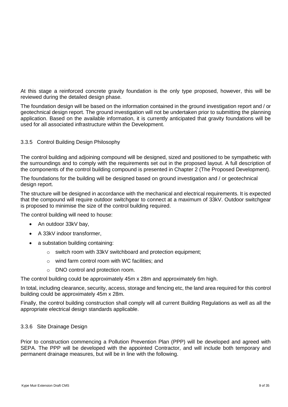At this stage a reinforced concrete gravity foundation is the only type proposed, however, this will be reviewed during the detailed design phase.

The foundation design will be based on the information contained in the ground investigation report and / or geotechnical design report. The ground investigation will not be undertaken prior to submitting the planning application. Based on the available information, it is currently anticipated that gravity foundations will be used for all associated infrastructure within the Development.

# 3.3.5 Control Building Design Philosophy

The control building and adjoining compound will be designed, sized and positioned to be sympathetic with the surroundings and to comply with the requirements set out in the proposed layout. A full description of the components of the control building compound is presented in Chapter 2 (The Proposed Development).

The foundations for the building will be designed based on ground investigation and / or geotechnical design report.

The structure will be designed in accordance with the mechanical and electrical requirements. It is expected that the compound will require outdoor switchgear to connect at a maximum of 33kV. Outdoor switchgear is proposed to minimise the size of the control building required.

The control building will need to house:

- An outdoor 33kV bay,
- A 33kV indoor transformer,
- a substation building containing:
	- o switch room with 33kV switchboard and protection equipment;
	- o wind farm control room with WC facilities; and
	- o DNO control and protection room.

The control building could be approximately 45m x 28m and approximately 6m high.

In total, including clearance, security, access, storage and fencing etc, the land area required for this control building could be approximately 45m x 28m.

Finally, the control building construction shall comply will all current Building Regulations as well as all the appropriate electrical design standards applicable.

#### 3.3.6 Site Drainage Design

Prior to construction commencing a Pollution Prevention Plan (PPP) will be developed and agreed with SEPA. The PPP will be developed with the appointed Contractor, and will include both temporary and permanent drainage measures, but will be in line with the following.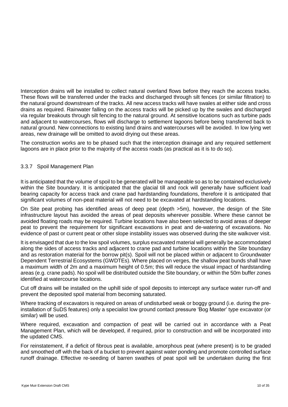Interception drains will be installed to collect natural overland flows before they reach the access tracks. These flows will be transferred under the tracks and discharged through silt fences (or similar filtration) to the natural ground downstream of the tracks. All new access tracks will have swales at either side and cross drains as required. Rainwater falling on the access tracks will be picked up by the swales and discharged via regular breakouts through silt fencing to the natural ground. At sensitive locations such as turbine pads and adjacent to watercourses, flows will discharge to settlement lagoons before being transferred back to natural ground. New connections to existing land drains and watercourses will be avoided. In low lying wet areas, new drainage will be omitted to avoid drying out these areas.

The construction works are to be phased such that the interception drainage and any required settlement lagoons are in place prior to the majority of the access roads (as practical as it is to do so).

# 3.3.7 Spoil Management Plan

It is anticipated that the volume of spoil to be generated will be manageable so as to be contained exclusively within the Site boundary. It is anticipated that the glacial till and rock will generally have sufficient load bearing capacity for access track and crane pad hardstanding foundations, therefore it is anticipated that significant volumes of non-peat material will not need to be excavated at hardstanding locations.

On Site peat probing has identified areas of deep peat (depth >5m), however, the design of the Site infrastructure layout has avoided the areas of peat deposits wherever possible. Where these cannot be avoided floating roads may be required. Turbine locations have also been selected to avoid areas of deeper peat to prevent the requirement for significant excavations in peat and de-watering of excavations. No evidence of past or current peat or other slope instability issues was observed during the site walkover visit.

It is envisaged that due to the low spoil volumes, surplus excavated material will generally be accommodated along the sides of access tracks and adjacent to crane pad and turbine locations within the Site boundary and as restoration material for the borrow pit(s). Spoil will not be placed within or adjacent to Groundwater Dependent Terrestrial Ecosystems (GWDTEs). Where placed on verges, the shallow peat bunds shall have a maximum width of 2m and a maximum height of 0.5m; this will reduce the visual impact of hardstanding areas (e.g. crane pads). No spoil will be distributed outside the Site boundary, or within the 50m buffer zones identified at watercourse locations.

Cut off drains will be installed on the uphill side of spoil deposits to intercept any surface water run-off and prevent the deposited spoil material from becoming saturated.

Where tracking of excavators is required on areas of undisturbed weak or boggy ground (i.e. during the preinstallation of SuDS features) only a specialist low ground contact pressure 'Bog Master' type excavator (or similar) will be used.

Where required, excavation and compaction of peat will be carried out in accordance with a Peat Management Plan, which will be developed, if required, prior to construction and will be incorporated into the updated CMS.

For reinstatement, if a deficit of fibrous peat is available, amorphous peat (where present) is to be graded and smoothed off with the back of a bucket to prevent against water ponding and promote controlled surface runoff drainage. Effective re-seeding of barren swathes of peat spoil will be undertaken during the first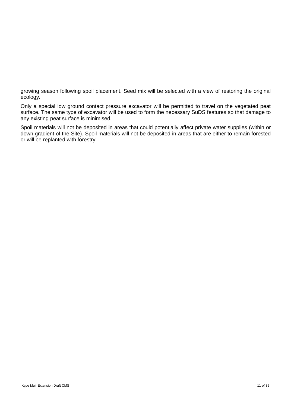growing season following spoil placement. Seed mix will be selected with a view of restoring the original ecology.

Only a special low ground contact pressure excavator will be permitted to travel on the vegetated peat surface. The same type of excavator will be used to form the necessary SuDS features so that damage to any existing peat surface is minimised.

Spoil materials will not be deposited in areas that could potentially affect private water supplies (within or down gradient of the Site). Spoil materials will not be deposited in areas that are either to remain forested or will be replanted with forestry.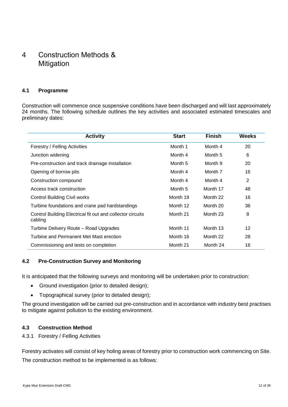# <span id="page-14-0"></span>4 Construction Methods & Mitigation

# <span id="page-14-1"></span>**4.1 Programme**

Construction will commence once suspensive conditions have been discharged and will last approximately 24 months. The following schedule outlines the key activities and associated estimated timescales and preliminary dates:

| <b>Activity</b>                                                       | <b>Start</b> | <b>Finish</b> | Weeks |
|-----------------------------------------------------------------------|--------------|---------------|-------|
| Forestry / Felling Activities                                         | Month 1      | Month 4       | 20    |
| Junction widening                                                     | Month 4      | Month 5       | 6     |
| Pre-construction and track drainage installation                      | Month 5      | Month 9       | 20    |
| Opening of borrow pits                                                | Month 4      | Month 7       | 16    |
| Construction compound                                                 | Month 4      | Month 4       | 2     |
| Access track construction                                             | Month 5      | Month 17      | 48    |
| <b>Control Building Civil works</b>                                   | Month 19     | Month 22      | 16    |
| Turbine foundations and crane pad hardstandings                       | Month 12     | Month 20      | 36    |
| Control Building Electrical fit out and collector circuits<br>cabling | Month 21     | Month 23      | 8     |
| Turbine Delivery Route - Road Upgrades                                | Month 11     | Month 13      | 12    |
| Turbine and Permanent Met Mast erection                               | Month 16     | Month 22      | 28    |
| Commissioning and tests on completion                                 | Month 21     | Month 24      | 16    |

#### <span id="page-14-2"></span>**4.2 Pre-Construction Survey and Monitoring**

It is anticipated that the following surveys and monitoring will be undertaken prior to construction:

- Ground investigation (prior to detailed design);
- Topographical survey (prior to detailed design);

The ground investigation will be carried out pre-construction and in accordance with industry best practises to mitigate against pollution to the existing environment.

#### <span id="page-14-3"></span>**4.3 Construction Method**

#### 4.3.1 Forestry / Felling Activities

Forestry activates will consist of key holing areas of forestry prior to construction work commencing on Site. The construction method to be implemented is as follows: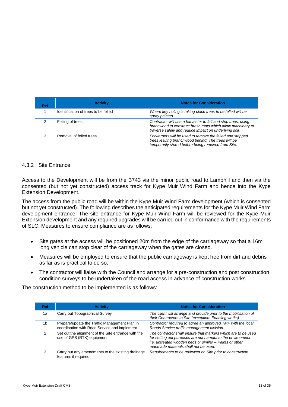| Ref | <b>Activity</b>                      | <b>Notes for Consideration</b>                                                                                                                                                        |
|-----|--------------------------------------|---------------------------------------------------------------------------------------------------------------------------------------------------------------------------------------|
|     | Identification of trees to be felled | Where key holing is taking place trees to be felled will be<br>spray painted.                                                                                                         |
|     | Felling of trees                     | Contractor will use a harvester to fell and strip trees, using<br>brancwood to construct brash mats which allow machinery to<br>traverse safely and reduce impact on underlying soil. |
|     | Removal of felled trees              | Forwarders will be used to remove the felled and stripped<br>trees leaving branchwood behind. The trees will be<br>temporarily stored before being removed from Site.                 |

#### 4.3.2 Site Entrance

Access to the Development will be from the B743 via the minor public road to Lambhill and then via the consented (but not yet constructed) access track for Kype Muir Wind Farm and hence into the Kype Extension Development.

The access from the public road will be within the Kype Muir Wind Farm development (which is consented but not yet constructed). The following describes the anticipated requirements for the Kype Muir Wind Farm development entrance. The site entrance for Kype Muir Wind Farm will be reviewed for the Kype Muir Extension development and any required upgrades will be carried out in conformance with the requirements of SLC. Measures to ensure compliance are as follows:

- Site gates at the access will be positioned 20m from the edge of the carriageway so that a 16m long vehicle can stop clear of the carriageway when the gates are closed.
- Measures will be employed to ensure that the public carriageway is kept free from dirt and debris as far as is practical to do so.
- The contractor will liaise with the Council and arrange for a pre-construction and post construction condition surveys to be undertaken of the road access in advance of construction works.

The construction method to be implemented is as follows:

| Ref | <b>Activity</b>                                                                               | <b>Notes for Consideration</b>                                                                                                                                                                                                  |
|-----|-----------------------------------------------------------------------------------------------|---------------------------------------------------------------------------------------------------------------------------------------------------------------------------------------------------------------------------------|
| 1a  | Carry out Topographical Survey                                                                | The client will arrange and provide prior to the mobilisation of<br>their Contractors to Site (exception: Enabling works)                                                                                                       |
| 1b  | Prepare/update the Traffic Management Plan in<br>coordination with Road Service and implement | Contractor required to agree an approved TMP with the local<br>Roads Service traffic management division.                                                                                                                       |
| 2   | Set out the alignment of the Site entrance with the<br>use of GPS (RTK) equipment.            | The contractor shall ensure that markers which are to be used<br>for setting out purposes are not harmful to the environment<br>i.e. untreated wooden pegs or similar - Paints or other<br>manmade materials shall not be used. |
| з   | Carry out any amendments to the existing drainage<br>features if required                     | Requirements to be reviewed on Site prior to construction                                                                                                                                                                       |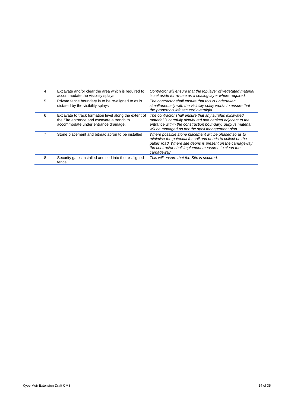| 4 | Excavate and/or clear the area which is required to<br>accommodate the visibility splays                                                    | Contractor will ensure that the top layer of vegetated material<br>is set aside for re-use as a sealing layer where required.                                                                                                                                  |
|---|---------------------------------------------------------------------------------------------------------------------------------------------|----------------------------------------------------------------------------------------------------------------------------------------------------------------------------------------------------------------------------------------------------------------|
| 5 | Private fence boundary is to be re-aligned to as is<br>dictated by the visibility splays                                                    | The contractor shall ensure that this is undertaken<br>simultaneously with the visibility splay works to ensure that<br>the property is left secured overnight.                                                                                                |
| 6 | Excavate to track formation level along the extent of<br>the Site entrance and excavate a trench to<br>accommodate under entrance drainage. | The contractor shall ensure that any surplus excavated<br>material is carefully distributed and banked adjacent to the<br>entrance within the construction boundary. Surplus material<br>will be managed as per the spoil management plan.                     |
|   | Stone placement and bitmac apron to be installed                                                                                            | Where possible stone placement will be phased so as to<br>minimise the potential for soil and debris to collect on the<br>public road. Where site debris is present on the carriageway<br>the contractor shall implement measures to clean the<br>carriageway. |
| 8 | Security gates installed and tied into the re-aligned<br>fence                                                                              | This will ensure that the Site is secured.                                                                                                                                                                                                                     |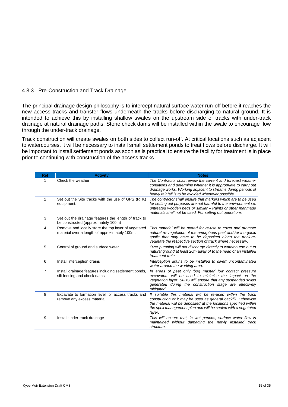#### 4.3.3 Pre-Construction and Track Drainage

The principal drainage design philosophy is to intercept natural surface water run-off before it reaches the new access tracks and transfer flows underneath the tracks before discharging to natural ground. It is intended to achieve this by installing shallow swales on the upstream side of tracks with under-track drainage at natural drainage paths. Stone check dams will be installed within the swale to encourage flow through the under-track drainage.

Track construction will create swales on both sides to collect run-off. At critical locations such as adjacent to watercourses, it will be necessary to install small settlement ponds to treat flows before discharge. It will be important to install settlement ponds as soon as is practical to ensure the facility for treatment is in place prior to continuing with construction of the access tracks

| <b>Ref</b>     | <b>Activity</b>                                                                                      | <b>Notes</b>                                                                                                                                                                                                                                                               |
|----------------|------------------------------------------------------------------------------------------------------|----------------------------------------------------------------------------------------------------------------------------------------------------------------------------------------------------------------------------------------------------------------------------|
| 1              | Check the weather                                                                                    | The Contractor shall review the current and forecast weather<br>conditions and determine whether it is appropriate to carry out<br>drainage works. Working adjacent to streams during periods of<br>heavy rainfall is to be avoided whenever possible.                     |
| $\overline{2}$ | Set out the Site tracks with the use of GPS (RTK)<br>equipment.                                      | The contractor shall ensure that markers which are to be used<br>for setting out purposes are not harmful to the environment i.e.<br>untreated wooden pegs or similar - Paints or other manmade<br>materials shall not be used. For setting out operations                 |
| 3              | Set out the drainage features the length of track to<br>be constructed (approximately 100m)          |                                                                                                                                                                                                                                                                            |
| 4              | Remove and locally store the top layer of vegetated<br>material over a length of approximately 100m. | This material will be stored for re-use to cover and promote<br>natural re-vegetation of the amorphous peat and /or inorganic<br>spoils that may have to be deposited along the track.re-<br>vegetate the respective section of track where necessary.                     |
| 5              | Control of ground and surface water                                                                  | Over pumping will not discharge directly to watercourse but to<br>natural ground at least 20m away of to the head of an installed<br>treatment train.                                                                                                                      |
| 6              | Install interception drains                                                                          | Interception drains to be installed to divert uncontaminated<br>water around the working area.                                                                                                                                                                             |
| 7              | Install drainage features including settlement ponds,<br>silt fencing and check dams                 | In areas of peat only 'bog master' low contact pressure<br>excavators will be used to minimise the impact on the<br>vegetation layer. SuDS will ensure that any suspended solids<br>generated during the construction stage are effectively<br>mitigated.                  |
| 8              | Excavate to formation level for access tracks and<br>remove any excess material.                     | If suitable this material will be re-used within the track<br>construction or it may be used as general backfill. Otherwise<br>the material will be deposited at the locations specified within<br>the spoil management plan and will be sealed with a vegetated<br>layer. |
| 9              | Install under-track drainage                                                                         | This will ensure that, in wet periods, surface water flow is<br>maintained without damaging the newly installed track<br>structure.                                                                                                                                        |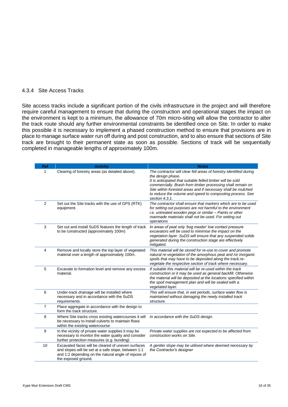#### 4.3.4 Site Access Tracks

Site access tracks include a significant portion of the civils infrastructure in the project and will therefore require careful management to ensure that during the construction and operational stages the impact on the environment is kept to a minimum, the allowance of 70m micro-siting will allow the contractor to alter the track route should any further environmental constraints be identified once on Site. In order to make this possible it is necessary to implement a phased construction method to ensure that provisions are in place to manage surface water run off during and post construction, and to also ensure that sections of Site track are brought to their permanent state as soon as possible. Sections of track will be sequentially completed in manageable lengths of approximately 100m.

| <b>Ref</b>   | <b>Activity</b>                                                                                                                                                                         | <b>Notes</b>                                                                                                                                                                                                                                                                                                                                                       |
|--------------|-----------------------------------------------------------------------------------------------------------------------------------------------------------------------------------------|--------------------------------------------------------------------------------------------------------------------------------------------------------------------------------------------------------------------------------------------------------------------------------------------------------------------------------------------------------------------|
| 1            | Clearing of forestry areas (as detailed above).                                                                                                                                         | The contractor will clear fell areas of forestry identified during<br>the design phase.<br>It is anticipated that suitable felled timber will be sold<br>commercially. Brash from timber processing shall remain on<br>Site within forested areas and if necessary shall be mulched<br>to reduce the volume and speed to composting process. See<br>section 4.3.1. |
| $\mathbf{2}$ | Set out the Site tracks with the use of GPS (RTK)<br>equipment.                                                                                                                         | The contractor shall ensure that markers which are to be used<br>for setting out purposes are not harmful to the environment<br>i.e. untreated wooden pegs or similar - Paints or other<br>manmade materials shall not be used. For setting out<br>operations                                                                                                      |
| 3            | Set out and install SuDS features the length of track<br>to be constructed (approximately 100m)                                                                                         | In areas of peat only 'bog master' low contact pressure<br>excavators will be used to minimise the impact on the<br>vegetation layer. SuDS will ensure that any suspended solids<br>generated during the construction stage are effectively<br>mitigated.                                                                                                          |
| 4            | Remove and locally store the top layer of vegetated<br>material over a length of approximately 100m.                                                                                    | This material will be stored for re-use to cover and promote<br>natural re-vegetation of the amorphous peat and /or inorganic<br>spoils that may have to be deposited along the track.re-<br>vegetate the respective section of track where necessary.                                                                                                             |
| 5            | Excavate to formation level and remove any excess<br>material.                                                                                                                          | If suitable this material will be re-used within the track<br>construction or it may be used as general backfill. Otherwise<br>the material will be deposited at the locations specified within<br>the spoil management plan and will be sealed with a<br>vegetated layer.                                                                                         |
| 6            | Under-track drainage will be installed where<br>necessary and in accordance with the SuDS<br>requirements.                                                                              | This will ensure that, in wet periods, surface water flow is<br>maintained without damaging the newly installed track<br>structure.                                                                                                                                                                                                                                |
| 7            | Place aggregate in accordance with the design to<br>form the track structure.                                                                                                           |                                                                                                                                                                                                                                                                                                                                                                    |
| 8            | Where Site tracks cross existing watercourses it will<br>be necessary to install culverts to maintain flows<br>within the existing watercourse                                          | In accordance with the SuDS design.                                                                                                                                                                                                                                                                                                                                |
| 9            | In the vicinity of private water supplies it may be<br>necessary to monitor the water quality and consider<br>further protection measures (e.g. bunding)                                | Private water supplies are not expected to be affected from<br>construction works on Site.                                                                                                                                                                                                                                                                         |
| 10           | Excavated faces will be cleared of uneven surfaces<br>and slopes will be set at a safe slope, between 1:1<br>and 1:2 depending on the natural angle of repose of<br>the exposed ground. | A gentler slope may be utilised where deemed necessary by<br>the Contractor's designer                                                                                                                                                                                                                                                                             |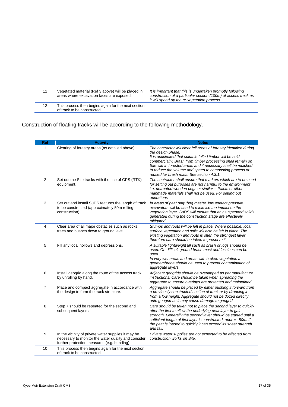|    | Vegetated material (Ref 3 above) will be placed in<br>areas where excavation faces are exposed. | It is important that this is undertaken promptly following<br>construction of a particular section (100m) of access track as<br>it will speed up the re-vegetation process. |
|----|-------------------------------------------------------------------------------------------------|-----------------------------------------------------------------------------------------------------------------------------------------------------------------------------|
| 12 | This process then begins again for the next section<br>of track to be constructed.              |                                                                                                                                                                             |

Construction of floating tracks will be according to the following methodology.

| Ref            | <b>Activity</b>                                                                                                                                          | <b>Notes</b>                                                                                                                                                                                                                                                                                                                                                                                |
|----------------|----------------------------------------------------------------------------------------------------------------------------------------------------------|---------------------------------------------------------------------------------------------------------------------------------------------------------------------------------------------------------------------------------------------------------------------------------------------------------------------------------------------------------------------------------------------|
| $\mathbf{1}$   | Clearing of forestry areas (as detailed above).                                                                                                          | The contractor will clear fell areas of forestry identified during<br>the design phase.<br>It is anticipated that suitable felled timber will be sold<br>commercially. Brash from timber processing shall remain on<br>Site within forested areas and if necessary shall be mulched<br>to reduce the volume and speed to composting process or<br>reused for brash mats. See section 4.3.1. |
| 2              | Set out the Site tracks with the use of GPS (RTK)<br>equipment.                                                                                          | The contractor shall ensure that markers which are to be used<br>for setting out purposes are not harmful to the environment<br>i.e. untreated wooden pegs or similar - Paints or other<br>manmade materials shall not be used. For setting out<br>operations                                                                                                                               |
| 3              | Set out and install SuDS features the length of track<br>to be constructed (approximately 50m rolling<br>construction)                                   | In areas of peat only 'bog master' low contact pressure<br>excavators will be used to minimise the impact on the<br>vegetation layer. SuDS will ensure that any suspended solids<br>generated during the construction stage are effectively<br>mitigated.                                                                                                                                   |
| 4              | Clear area of all major obstacles such as rocks,<br>trees and bushes down to ground level.                                                               | Stumps and roots will be left in place. Where possible, local<br>surface vegetation and soils will also be left in place. The<br>existing vegetation and roots is often the strongest layer<br>therefore care should be taken to preserve it.                                                                                                                                               |
| 5              | Fill any local hollows and depressions.                                                                                                                  | A suitable lightweight fill such as brash or logs should be<br>used. On difficult ground brash mast and fascines can be<br>used.<br>In very wet areas and areas with broken vegetation a<br>geomembrane should be used to prevent contamination of<br>aggregate layers.                                                                                                                     |
| 6              | Install geogrid along the route of the access track<br>by unrolling by hand.                                                                             | Adjacent geogrids should be overlapped as per manufacture<br>instructions. Care should be taken when spreading the<br>aggregate to ensure overlaps are protected and maintained.                                                                                                                                                                                                            |
| $\overline{7}$ | Place and compact aggregate in accordance with<br>the design to form the track structure.                                                                | Aggregate should be placed by either pushing it forward from<br>a previously constructed section of track or by dropping it<br>from a low height. Aggregate should not be dozed directly<br>onto geogrid as it may cause damage to geogrid.                                                                                                                                                 |
| 8              | Step 7 should be repeated for the second and<br>subsequent layers                                                                                        | Care should be taken not to place the second layer to quickly<br>after the first to allow the underlying peat layer to gain<br>strength. Generally the second layer should be started until a<br>sufficient length of first layer is constructed, approx. 50m. If<br>the peat is loaded to quickly it can exceed its sheer strength<br>and fail.                                            |
| 9              | In the vicinity of private water supplies it may be<br>necessary to monitor the water quality and consider<br>further protection measures (e.g. bunding) | Private water supplies are not expected to be affected from<br>construction works on Site.                                                                                                                                                                                                                                                                                                  |
| 10             | This process then begins again for the next section<br>of track to be constructed.                                                                       |                                                                                                                                                                                                                                                                                                                                                                                             |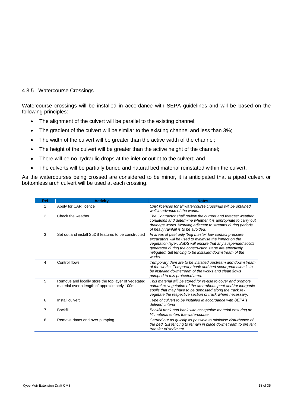#### 4.3.5 Watercourse Crossings

Watercourse crossings will be installed in accordance with SEPA guidelines and will be based on the following principles:

- The alignment of the culvert will be parallel to the existing channel;
- The gradient of the culvert will be similar to the existing channel and less than 3%;
- The width of the culvert will be greater than the active width of the channel;
- The height of the culvert will be greater than the active height of the channel;
- There will be no hydraulic drops at the inlet or outlet to the culvert; and
- The culverts will be partially buried and natural bed material reinstated within the culvert.

As the watercourses being crossed are considered to be minor, it is anticipated that a piped culvert or bottomless arch culvert will be used at each crossing.

| Ref | <b>Activity</b>                                                                                      | <b>Notes</b>                                                                                                                                                                                                                                                                                                       |
|-----|------------------------------------------------------------------------------------------------------|--------------------------------------------------------------------------------------------------------------------------------------------------------------------------------------------------------------------------------------------------------------------------------------------------------------------|
| 1   | Apply for CAR licence                                                                                | CAR licences for all watercourse crossings will be obtained<br>well in advance of the works.                                                                                                                                                                                                                       |
| 2   | Check the weather                                                                                    | The Contractor shall review the current and forecast weather<br>conditions and determine whether it is appropriate to carry out<br>drainage works. Working adjacent to streams during periods<br>of heavy rainfall is to be avoided.                                                                               |
| 3   | Set out and install SuDS features to be constructed                                                  | In areas of peat only 'bog master' low contact pressure<br>excavators will be used to minimise the impact on the<br>vegetation layer. SuDS will ensure that any suspended solids<br>generated during the construction stage are effectively<br>mitigated. Silt fencing to be installed downstream of the<br>works. |
| 4   | Control flows                                                                                        | Temporary dam are to be installed upstream and downstream<br>of the works. Temporary bank and bed scour protection is to<br>be installed downstream of the works and clean flows<br>pumped to this protected area.                                                                                                 |
| 5   | Remove and locally store the top layer of vegetated<br>material over a length of approximately 100m. | This material will be stored for re-use to cover and promote<br>natural re-vegetation of the amorphous peat and /or inorganic<br>spoils that may have to be deposited along the track.re-<br>vegetate the respective section of track where necessary.                                                             |
| 6   | Install culvert                                                                                      | Type of culvert to be installed in accordance with SEPA's<br>defined criteria                                                                                                                                                                                                                                      |
| 7   | <b>Backfill</b>                                                                                      | Backfill track and bank with acceptable material ensuring no<br>fill material enters the watercourse.                                                                                                                                                                                                              |
| 8   | Remove dams and over pumping                                                                         | Carried out as quickly as possible to minimise disturbance of<br>the bed. Silt fencing to remain in place downstream to prevent<br>transfer of sediment.                                                                                                                                                           |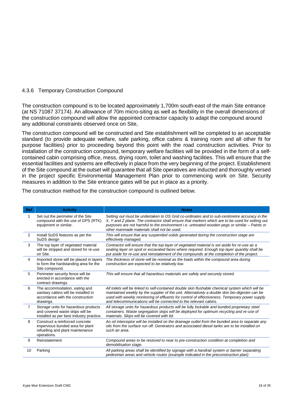#### 4.3.6 Temporary Construction Compound

The construction compound is to be located approximately 1,700m south-east of the main Site entrance (at NS 71087 37174). An allowance of 70m micro-siting as well as flexibility in the overall dimensions of the construction compound will allow the appointed contractor capacity to adapt the compound around any additional constraints observed once on Site,

The construction compound will be constructed and Site establishment will be completed to an acceptable standard (to provide adequate welfare, safe parking, office cabins & training room and all other fit for purpose facilities) prior to proceeding beyond this point with the road construction activities. Prior to installation of the construction compound, temporary welfare facilities will be provided in the form of a selfcontained cabin comprising office, mess, drying room, toilet and washing facilities. This will ensure that the essential facilities and systems are effectively in place from the very beginning of the project. Establishment of the Site compound at the outset will guarantee that all Site operatives are inducted and thoroughly versed in the project specific Environmental Management Plan prior to commencing work on Site. Security measures in addition to the Site entrance gates will be put in place as a priority.

| Ref            | <b>Activity</b>                                                                                                        | <b>Notes</b>                                                                                                                                                                                                                                                                                                                                                            |
|----------------|------------------------------------------------------------------------------------------------------------------------|-------------------------------------------------------------------------------------------------------------------------------------------------------------------------------------------------------------------------------------------------------------------------------------------------------------------------------------------------------------------------|
| 1              | Set out the perimeter of the Site<br>compound with the use of GPS (RTK)<br>equipment or similar.                       | Setting out must be undertaken to OS Grid co-ordinates and to sub-centimetre accuracy in the<br>X, Y and Z plane. The contractor shall ensure that markers which are to be used for setting out<br>purposes are not harmful to the environment i.e. untreated wooden pegs or similar - Paints or<br>other manmade materials shall not be used.                          |
| $\overline{2}$ | Install SuDS features as per the<br>SuDS design                                                                        | This will ensure that any suspended solids generated during the construction stage are<br>effectively managed.                                                                                                                                                                                                                                                          |
| 3              | The top layer of vegetated material<br>will be stripped and stored for re-use<br>on Site.                              | Contractor will ensure that the top layer of vegetated material is set aside for re-use as a<br>sealing layer on spoil or excavated faces where required. Enough top layer quantity shall be<br>put aside for re-use and reinstatement of the compounds at the completion of the project.                                                                               |
| 4              | Imported stone will be placed in layers<br>to form the hardstanding area for the<br>Site compound.                     | The thickness of stone will be nominal as the loads within the compound area during<br>construction are expected to be relatively low.                                                                                                                                                                                                                                  |
| 5              | Perimeter security fence will be<br>erected in accordance with the<br>contract drawings.                               | This will ensure that all hazardous materials are safely and securely stored.                                                                                                                                                                                                                                                                                           |
| 6              | The accommodation, eating and<br>sanitary cabins will be installed in<br>accordance with the construction<br>drawings. | All toilets will be linked to self-contained double skin flushable chemical system which will be<br>maintained weekly by the supplier of the unit. Alternatively a double skin bio-digester can be<br>used with weekly monitoring of effluents for control of effectiveness. Temporary power supply<br>and telecommunications will be connected to the relevant cabins. |
| $\overline{7}$ | Storage units for hazardous products<br>and covered waste skips will be<br>installed as per best industry practice.    | All storage units for hazardous products will be fully lockable and bunded proprietary steel<br>containers. Waste segregation skips will be deployed for optimum recycling and re-use of<br>materials. Skips will be covered with lid.                                                                                                                                  |
| 8              | Construct a reinforced concrete<br>impervious bunded area for plant<br>refuelling and plant maintenance<br>operations. | An oil interceptor will be installed on the drainage outlet from the bunded area to separate any<br>oils from the surface run off. Generators and associated diesel tanks are to be installed on<br>such an area.                                                                                                                                                       |
| 9              | Reinstatement                                                                                                          | Compound areas to be restored to near to pre-construction condition at completion and<br>demobilisation stage.                                                                                                                                                                                                                                                          |
| 10             | Parking                                                                                                                | All parking areas shall be identified by signage with a handrail system or barrier separating<br>pedestrian areas and vehicle routes (example indicated in the preconstruction plan)                                                                                                                                                                                    |

The construction method for the construction compound is outlined below.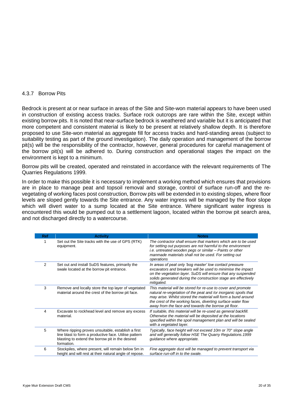#### 4.3.7 Borrow Pits

Bedrock is present at or near surface in areas of the Site and Site-won material appears to have been used in construction of existing access tracks. Surface rock outcrops are rare within the Site, except within existing borrow pits. It is noted that near-surface bedrock is weathered and variable but it is anticipated that more competent and consistent material is likely to be present at relatively shallow depth. It is therefore proposed to use Site-won material as aggregate fill for access tracks and hard-standing areas (subject to suitability testing as part of the ground investigation). The daily operation and management of the borrow pit(s) will be the responsibility of the contractor, however, general procedures for careful management of the borrow pit(s) will be adhered to. During construction and operational stages the impact on the environment is kept to a minimum.

Borrow pits will be created, operated and reinstated in accordance with the relevant requirements of The Quarries Regulations 1999.

In order to make this possible it is necessary to implement a working method which ensures that provisions are in place to manage peat and topsoil removal and storage, control of surface run-off and the revegetating of working faces post construction, Borrow pits will be extended in to existing slopes, where floor levels are sloped gently towards the Site entrance. Any water ingress will be managed by the floor slope which will divert water to a sump located at the Site entrance. Where significant water ingress is encountered this would be pumped out to a settlement lagoon, located within the borrow pit search area, and not discharged directly to a watercourse.

| <b>Ref</b> | <b>Activity</b>                                                                                                                                                               | <b>Notes</b>                                                                                                                                                                                                                                                                                                             |
|------------|-------------------------------------------------------------------------------------------------------------------------------------------------------------------------------|--------------------------------------------------------------------------------------------------------------------------------------------------------------------------------------------------------------------------------------------------------------------------------------------------------------------------|
|            | Set out the Site tracks with the use of GPS (RTK)<br>equipment.                                                                                                               | The contractor shall ensure that markers which are to be used<br>for setting out purposes are not harmful to the environment<br>i.e. untreated wooden pegs or similar - Paints or other<br>manmade materials shall not be used. For setting out<br>operations                                                            |
| 2          | Set out and install SuDS features, primarily the<br>swale located at the borrow pit entrance.                                                                                 | In areas of peat only 'bog master' low contact pressure<br>excavators and breakers will be used to minimise the impact<br>on the vegetation layer. SuDS will ensure that any suspended<br>solids generated during the construction stage are effectively<br>mitigated.                                                   |
| 3          | Remove and locally store the top layer of vegetated<br>material around the crest of the borrow pit face.                                                                      | This material will be stored for re-use to cover and promote<br>natural re-vegetation of the peat and /or inorganic spoils that<br>may arise. Whilst stored the material will form a bund around<br>the crest of the working faces, diverting surface water flow<br>away from the face and towards the borrow pit floor. |
| 4          | Excavate to rockhead level and remove any excess<br>material.                                                                                                                 | If suitable, this material will be re-used as general backfill.<br>Otherwise the material will be deposited at the locations<br>specified within the spoil management plan and will be sealed<br>with a vegetated layer.                                                                                                 |
| 5          | Where ripping proves unsuitable, establish a first<br>line blast to form a productive face. Utilise pattern<br>blasting to extend the borrow pit in the desired<br>formation. | Typically, face height will not exceed 10m or 70° slope angle<br>and will generally follow HSE The Quarry Regulations. 1999<br>guidance where appropriate.                                                                                                                                                               |
| 6          | Stockpiles, where present, will remain below 5m in<br>height and will rest at their natural angle of repose.                                                                  | Fine aggregate dust will be managed to prevent transport via<br>surface run-off in to the swale.                                                                                                                                                                                                                         |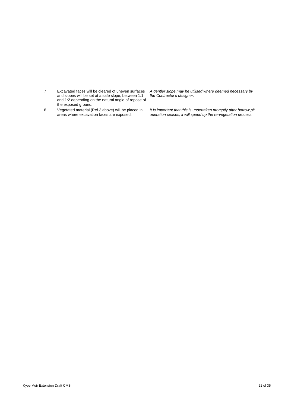|   | Excavated faces will be cleared of uneven surfaces<br>and slopes will be set at a safe slope, between 1:1<br>and 1:2 depending on the natural angle of repose of<br>the exposed ground. | A gentler slope may be utilised where deemed necessary by<br>the Contractor's designer.                                            |
|---|-----------------------------------------------------------------------------------------------------------------------------------------------------------------------------------------|------------------------------------------------------------------------------------------------------------------------------------|
| 8 | Vegetated material (Ref 3 above) will be placed in<br>areas where excavation faces are exposed.                                                                                         | It is important that this is undertaken promptly after borrow pit<br>operation ceases; it will speed up the re-vegetation process. |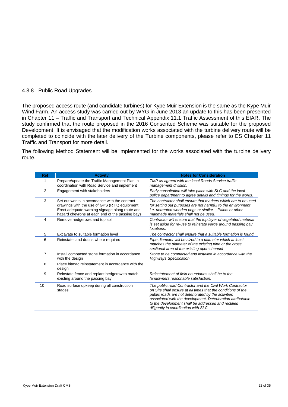#### 4.3.8 Public Road Upgrades

The proposed access route (and candidate turbines) for Kype Muir Extension is the same as the Kype Muir Wind Farm. An access study was carried out by WYG in June 2013 an update to this has been presented in Chapter 11 – Traffic and Transport and Technical Appendix 11.1 Traffic Assessment of this EIAR. The study confirmed that the route proposed in the 2016 Consented Scheme was suitable for the proposed Development. It is envisaged that the modification works associated with the turbine delivery route will be completed to coincide with the later delivery of the Turbine components, please refer to ES Chapter 11 Traffic and Transport for more detail.

The following Method Statement will be implemented for the works associated with the turbine delivery route.

| <b>Ref</b> | <b>Activity</b>                                                                                                                                                                                      | <b>Notes for Consideration</b>                                                                                                                                                                                                                                                                                                                |
|------------|------------------------------------------------------------------------------------------------------------------------------------------------------------------------------------------------------|-----------------------------------------------------------------------------------------------------------------------------------------------------------------------------------------------------------------------------------------------------------------------------------------------------------------------------------------------|
| 1          | Prepare/update the Traffic Management Plan in<br>coordination with Road Service and implement                                                                                                        | TMP as agreed with the local Roads Service traffic<br>management division.                                                                                                                                                                                                                                                                    |
| 2          | Engagement with stakeholders                                                                                                                                                                         | Early consultation will take place with SLC and the local<br>police department to agree details and timings for the works.                                                                                                                                                                                                                    |
| 3          | Set out works in accordance with the contract<br>drawings with the use of GPS (RTK) equipment.<br>Erect adequate warning signage along route and<br>hazard chevrons at each end of the passing bays. | The contractor shall ensure that markers which are to be used<br>for setting out purposes are not harmful to the environment<br>i.e. untreated wooden pegs or similar - Paints or other<br>manmade materials shall not be used.                                                                                                               |
| 4          | Remove hedgerows and top soil.                                                                                                                                                                       | Contractor will ensure that the top layer of vegetated material<br>is set aside for re-use to reinstate verge around passing bay<br>locations.                                                                                                                                                                                                |
| 5          | Excavate to suitable formation level                                                                                                                                                                 | The contractor shall ensure that a suitable formation is found.                                                                                                                                                                                                                                                                               |
| 6          | Reinstate land drains where required                                                                                                                                                                 | Pipe diameter will be sized to a diameter which at least<br>matches the diameter of the existing pipe or the cross<br>sectional area of the existing open channel                                                                                                                                                                             |
| 7          | Install compacted stone formation in accordance<br>with the design                                                                                                                                   | Stone to be compacted and installed in accordance with the<br><b>Highways Specification</b>                                                                                                                                                                                                                                                   |
| 8          | Place bitmac reinstatement in accordance with the<br>design                                                                                                                                          |                                                                                                                                                                                                                                                                                                                                               |
| 9          | Reinstate fence and replant hedgerow to match<br>existing around the passing bay                                                                                                                     | Reinstatement of field boundaries shall be to the<br>landowners reasonable satisfaction.                                                                                                                                                                                                                                                      |
| 10         | Road surface upkeep during all construction<br>stages                                                                                                                                                | The public road Contractor and the Civil Work Contractor<br>on Site shall ensure at all times that the conditions of the<br>public roads are not deteriorated by the activities<br>associated with the development. Deterioration attributable<br>to the development shall be addressed and rectified<br>diligently in coordination with SLC. |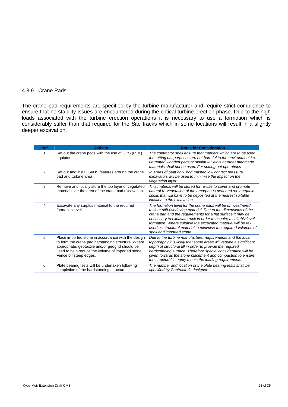#### 4.3.9 Crane Pads

The crane pad requirements are specified by the turbine manufacturer and require strict compliance to ensure that no stability issues are encountered during the critical turbine erection phase. Due to the high loads associated with the turbine erection operations it is necessary to use a formation which is considerably stiffer than that required for the Site tracks which in some locations will result in a slightly deeper excavation.

| Ref | <b>Activity</b>                                                                                                                                                                                                                             | <b>Notes for Consideration</b>                                                                                                                                                                                                                                                                                                                                                                                                   |
|-----|---------------------------------------------------------------------------------------------------------------------------------------------------------------------------------------------------------------------------------------------|----------------------------------------------------------------------------------------------------------------------------------------------------------------------------------------------------------------------------------------------------------------------------------------------------------------------------------------------------------------------------------------------------------------------------------|
| 1   | Set out the crane pads with the use of GPS (RTK)<br>equipment.                                                                                                                                                                              | The contractor shall ensure that markers which are to be used<br>for setting out purposes are not harmful to the environment <i>i.e.</i><br>untreated wooden pegs or similar - Paints or other manmade<br>materials shall not be used. For setting out operations                                                                                                                                                                |
| 2   | Set out and install SuDS features around the crane<br>pad and turbine area.                                                                                                                                                                 | In areas of peat only 'bog master' low contact pressure<br>excavators will be used to minimise the impact on the<br>vegetation layer.                                                                                                                                                                                                                                                                                            |
| 3   | Remove and locally store the top layer of vegetated<br>material over the area of the crane pad excavation.                                                                                                                                  | This material will be stored for re-use to cover and promote<br>natural re-vegetation of the amorphous peat and /or inorganic<br>spoils that will have to be deposited at the nearest suitable<br>location to the excavation.                                                                                                                                                                                                    |
| 4   | Excavate any surplus material to the required<br>formation level.                                                                                                                                                                           | The formation level for the crane pads will be on weathered<br>rock or stiff overlaying material. Due to the dimensions of the<br>crane pad and the requirements for a flat surface it may be<br>necessary to excavate rock in order to acquire a suitably level<br>formation. Where suitable the excavated material will be re-<br>used as structural material to minimise the required volumes of<br>spoil and imported stone. |
| 5   | Place imported stone in accordance with the design<br>to form the crane pad harstanding structure. Where<br>appropriate, geotextile and/or geogrid should be<br>used to help reduce the volume of imported stone.<br>Fence off steep edges. | Due to the turbine manufacturer requirements and the local<br>topography it is likely that some areas will require a significant<br>depth of structural fill in order to provide the required<br>hardstanding surface. Therefore special consideration will be<br>given towards the stone placement and compaction to ensure<br>the structural integrity meets the loading requirements.                                         |
| 6   | Plate bearing tests will be undertaken following<br>completion of the hardstanding structure.                                                                                                                                               | The number and location of the plate bearing tests shall be<br>specified by Contractor's designer.                                                                                                                                                                                                                                                                                                                               |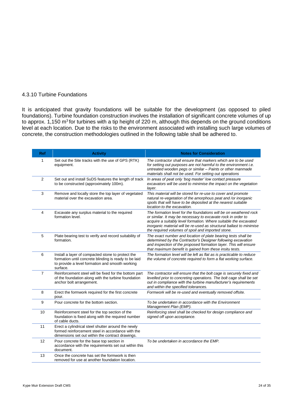#### 4.3.10 Turbine Foundations

It is anticipated that gravity foundations will be suitable for the development (as opposed to piled foundations). Turbine foundation construction involves the installation of significant concrete volumes of up to approx. 1,150 m<sup>3</sup> for turbines with a tip height of 220 m, although this depends on the ground conditions level at each location. Due to the risks to the environment associated with installing such large volumes of concrete, the construction methodologies outlined in the following table shall be adhered to.

| Ref            | <b>Activity</b>                                                                                                                                                           | <b>Notes for Consideration</b>                                                                                                                                                                                                                                                                                                     |
|----------------|---------------------------------------------------------------------------------------------------------------------------------------------------------------------------|------------------------------------------------------------------------------------------------------------------------------------------------------------------------------------------------------------------------------------------------------------------------------------------------------------------------------------|
| 1              | Set out the Site tracks with the use of GPS (RTK)<br>equipment.                                                                                                           | The contractor shall ensure that markers which are to be used<br>for setting out purposes are not harmful to the environment <i>i.e.</i><br>untreated wooden pegs or similar - Paints or other manmade<br>materials shall not be used. For setting out operations                                                                  |
| $\overline{2}$ | Set out and install SuDS features the length of track<br>to be constructed (approximately 100m).                                                                          | In areas of peat only 'bog master' low contact pressure<br>excavators will be used to minimise the impact on the vegetation<br>layer.                                                                                                                                                                                              |
| 3              | Remove and locally store the top layer of vegetated<br>material over the excavation area.                                                                                 | This material will be stored for re-use to cover and promote<br>natural re-vegetation of the amorphous peat and /or inorganic<br>spoils that will have to be deposited at the nearest suitable<br>location to the excavation.                                                                                                      |
| 4              | Excavate any surplus material to the required<br>formation level.                                                                                                         | The formation level for the foundations will be on weathered rock<br>or similar. It may be necessary to excavate rock in order to<br>acquire a suitably level formation. Where suitable the excavated<br>inorganic material will be re-used as structural ballast to minimise<br>the required volumes of spoil and imported stone. |
| 5              | Plate bearing test to verify and record suitability of<br>formation.                                                                                                      | The exact number and location of plate bearing tests shall be<br>determined by the Contractor's Designer following excavation<br>and inspection of the proposed formation layer. This will ensure<br>that maximum benefit is gained from these insitu tests.                                                                       |
| 6              | Install a layer of compacted stone to protect the<br>formation until concrete blinding is ready to be laid<br>to provide a level formation and smooth working<br>surface. | The formation level will be left as flat as is practicable to reduce<br>the volume of concrete required to form a flat working surface.                                                                                                                                                                                            |
| $\overline{7}$ | Reinforcement steel will be fixed for the bottom part<br>of the foundation along with the turbine foundation<br>anchor bolt arrangement.                                  | The contractor will ensure that the bolt cage is securely fixed and<br>levelled prior to concreting operations. The bolt cage shall be set<br>out in compliance with the turbine manufacturer's requirements<br>and within the specified tolerances.                                                                               |
| 8              | Erect the formwork required for the first concrete<br>pour.                                                                                                               | Formwork will be re-used and eventually removed offsite.                                                                                                                                                                                                                                                                           |
| 9              | Pour concrete for the bottom section.                                                                                                                                     | To be undertaken in accordance with the Environment<br>Management Plan (EMP).                                                                                                                                                                                                                                                      |
| 10             | Reinforcement steel for the top section of the<br>foundation is fixed along with the required number<br>of cable ducts.                                                   | Reinforcing steel shall be checked for design compliance and<br>signed off upon acceptance.                                                                                                                                                                                                                                        |
| 11             | Erect a cylindrical steel shutter around the newly<br>formed reinforcement steel in accordance with the<br>dimensions set out within the contract drawings.               |                                                                                                                                                                                                                                                                                                                                    |
| 12             | Pour concrete for the base top section in<br>accordance with the requirements set out within this<br>document.                                                            | To be undertaken in accordance the EMP.                                                                                                                                                                                                                                                                                            |
| 13             | Once the concrete has set the formwork is then<br>removed for use at another foundation location.                                                                         |                                                                                                                                                                                                                                                                                                                                    |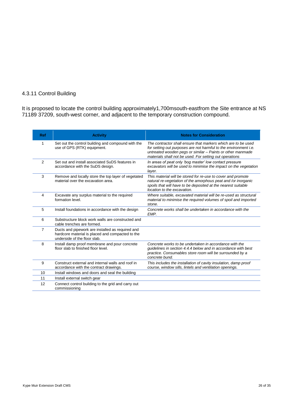# 4.3.11 Control Building

It is proposed to locate the control building approximately1,700msouth-eastfrom the Site entrance at NS 71189 37209, south-west corner, and adjacent to the temporary construction compound.

| <b>Ref</b>     | <b>Activity</b>                                                                                                                      | <b>Notes for Consideration</b>                                                                                                                                                                                                                                    |
|----------------|--------------------------------------------------------------------------------------------------------------------------------------|-------------------------------------------------------------------------------------------------------------------------------------------------------------------------------------------------------------------------------------------------------------------|
| 1              | Set out the control building and compound with the<br>use of GPS (RTK) equipment.                                                    | The contractor shall ensure that markers which are to be used<br>for setting out purposes are not harmful to the environment <i>i.e.</i><br>untreated wooden pegs or similar - Paints or other manmade<br>materials shall not be used. For setting out operations |
| 2              | Set out and install associated SuDS features in<br>accordance with the SuDS design.                                                  | In areas of peat only 'bog master' low contact pressure<br>excavators will be used to minimise the impact on the vegetation<br>layer.                                                                                                                             |
| 3              | Remove and locally store the top layer of vegetated<br>material over the excavation area.                                            | This material will be stored for re-use to cover and promote<br>natural re-vegetation of the amorphous peat and /or inorganic<br>spoils that will have to be deposited at the nearest suitable<br>location to the excavation.                                     |
| 4              | Excavate any surplus material to the required<br>formation level.                                                                    | Where suitable, excavated material will be re-used as structural<br>material to minimise the required volumes of spoil and imported<br>stone.                                                                                                                     |
| 5              | Install foundations in accordance with the design                                                                                    | Concrete works shall be undertaken in accordance with the<br>EMP.                                                                                                                                                                                                 |
| 6              | Substructure block work walls are constructed and<br>cable trenches are formed.                                                      |                                                                                                                                                                                                                                                                   |
| $\overline{7}$ | Ducts and pipework are installed as required and<br>hardcore material is placed and compacted to the<br>underside of the floor slab. |                                                                                                                                                                                                                                                                   |
| 8              | Install damp proof membrane and pour concrete<br>floor slab to finished floor level.                                                 | Concrete works to be undertaken in accordance with the<br>guidelines in section 4.4.4 below and in accordance with best<br>practice. Consumables store room will be surrounded by a<br>concrete bund.                                                             |
| 9              | Construct external and internal walls and roof in<br>accordance with the contract drawings.                                          | This includes the installation of cavity insulation, damp proof<br>course, window sills, lintels and ventilation openings.                                                                                                                                        |
| 10             | Install windows and doors and seal the building                                                                                      |                                                                                                                                                                                                                                                                   |
| 11             | Install external switch gear                                                                                                         |                                                                                                                                                                                                                                                                   |
| 12             | Connect control building to the grid and carry out<br>commissioning                                                                  |                                                                                                                                                                                                                                                                   |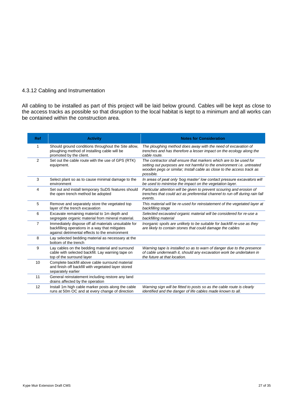#### 4.3.12 Cabling and Instrumentation

All cabling to be installed as part of this project will be laid below ground. Cables will be kept as close to the access tracks as possible so that disruption to the local habitat is kept to a minimum and all works can be contained within the construction area.

| <b>Ref</b>     | <b>Activity</b>                                                                                                                                          | <b>Notes for Consideration</b>                                                                                                                                                                                                           |
|----------------|----------------------------------------------------------------------------------------------------------------------------------------------------------|------------------------------------------------------------------------------------------------------------------------------------------------------------------------------------------------------------------------------------------|
| 1              | Should ground conditions throughout the Site allow,<br>ploughing method of installing cable will be<br>promoted by the client.                           | The ploughing method does away with the need of excavation of<br>trenches and has therefore a lesser impact on the ecology along the<br>cable route.                                                                                     |
| 2              | Set out the cable route with the use of GPS (RTK)<br>equipment.                                                                                          | The contractor shall ensure that markers which are to be used for<br>setting out purposes are not harmful to the environment <i>i.e.</i> untreated<br>wooden pegs or similar; Install cable as close to the access track as<br>possible. |
| 3              | Select plant so as to cause minimal damage to the<br>environment                                                                                         | In areas of peat only 'bog master' low contact pressure excavators will<br>be used to minimise the impact on the vegetation layer.                                                                                                       |
| 4              | Set out and install temporary SuDS features should<br>the open trench method be adopted                                                                  | Particular attention will be given to prevent scouring and erosion of<br>trenches that could act as preferential channel to run off during rain fall<br>events.                                                                          |
| 5              | Remove and separately store the vegetated top<br>layer of the trench excavation                                                                          | This material will be re-used for reinstatement of the vegetated layer at<br>backfilling stage                                                                                                                                           |
| 6              | Excavate remaining material to 1m depth and<br>segregate organic material from mineral material.                                                         | Selected excavated organic material will be considered for re-use a<br>backfilling material                                                                                                                                              |
| $\overline{7}$ | Immediately dispose off all materials unsuitable for<br>backfilling operations in a way that mitigates<br>against detrimental effects to the environment | Inorganic spoils are unlikely to be suitable for backfill re-use as they<br>are likely to contain stones that could damage the cables                                                                                                    |
| 8              | Lay selected bedding material as necessary at the<br>bottom of the trench                                                                                |                                                                                                                                                                                                                                          |
| 9              | Lay cables on the bedding material and surround<br>cable with selected backfill. Lay warning tape on<br>top of the surround layer                        | Warning tape is installed so as to warn of danger due to the presence<br>of cable underneath it, should any excavation work be undertaken in<br>the future at that location.                                                             |
| 10             | Complete backfill above cable surround material<br>and finish off backfill with vegetated layer stored<br>separately earlier                             |                                                                                                                                                                                                                                          |
| 11             | General reinstatement including restore any land<br>drains affected by the operation                                                                     |                                                                                                                                                                                                                                          |
| 12             | Install 1m high cable marker posts along the cable<br>runs at 50m OC and at every change of direction                                                    | Warning sign will be fitted to posts so as the cable route is clearly<br>identified and the danger of life cables made known to all.                                                                                                     |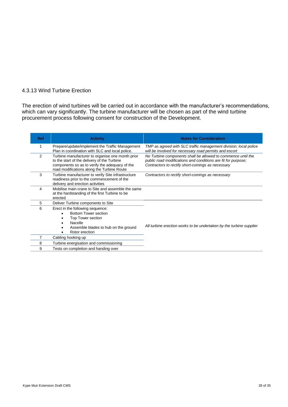# 4.3.13 Wind Turbine Erection

The erection of wind turbines will be carried out in accordance with the manufacturer's recommendations, which can vary significantly. The turbine manufacturer will be chosen as part of the wind turbine procurement process following consent for construction of the Development.

| <b>Ref</b> | <b>Activity</b>                                                                                                                                                                                 | <b>Notes for Consideration</b>                                                                                                                                                     |
|------------|-------------------------------------------------------------------------------------------------------------------------------------------------------------------------------------------------|------------------------------------------------------------------------------------------------------------------------------------------------------------------------------------|
|            | Prepare/update/implement the Traffic Management<br>Plan in coordination with SLC and local police.                                                                                              | TMP as agreed with SLC traffic management division; local police<br>will be involved for necessary road permits and escort                                                         |
| 2          | Turbine manufacturer to organise one month prior<br>to the start of the delivery of the Turbine<br>components so as to verify the adequacy of the<br>road modifications along the Turbine Route | No Turbine components shall be allowed to commence until the<br>public road modifications and conditions are fit for purpose;<br>Contractors to rectify short-comings as necessary |
| 3          | Turbine manufacturer to verify Site infrastructure<br>readiness prior to the commencement of the<br>delivery and erection activities                                                            | Contractors to rectify short-comings as necessary                                                                                                                                  |
| 4          | Mobilise main crane to Site and assemble the same<br>at the hardstanding of the first Turbine to be<br>erected                                                                                  |                                                                                                                                                                                    |
| 5          | Deliver Turbine components to Site                                                                                                                                                              |                                                                                                                                                                                    |
| 6          | Erect in the following sequence:<br><b>Bottom Tower section</b><br>Top Tower section<br>Nacelle<br>Assemble blades to hub on the ground<br>Rotor erection                                       | All turbine erection works to be undertaken by the turbine supplier                                                                                                                |
|            | Cabling hooking up                                                                                                                                                                              |                                                                                                                                                                                    |
| 8          | Turbine energisation and commissioning                                                                                                                                                          |                                                                                                                                                                                    |
| 9          | Tests on completion and handing over                                                                                                                                                            |                                                                                                                                                                                    |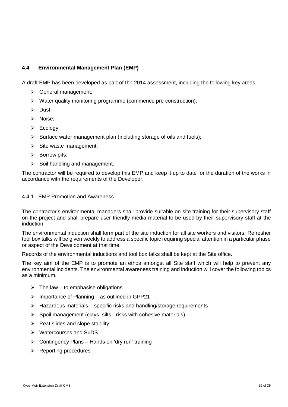# <span id="page-31-0"></span>**4.4 Environmental Management Plan (EMP)**

A draft EMP has been developed as part of the 2014 assessment, including the following key areas:

- $\triangleright$  General management;
- $\triangleright$  Water quality monitoring programme (commence pre construction);
- $\triangleright$  Dust;
- $\triangleright$  Noise:
- $\triangleright$  Ecology;
- $\triangleright$  Surface water management plan (including storage of oils and fuels);
- $\triangleright$  Site waste management;
- $\triangleright$  Borrow pits;
- $\triangleright$  Soil handling and management.

The contractor will be required to develop this EMP and keep it up to date for the duration of the works in accordance with the requirements of the Developer.

#### 4.4.1 EMP Promotion and Awareness

The contractor's environmental managers shall provide suitable on-site training for their supervisory staff on the project and shall prepare user friendly media material to be used by their supervisory staff at the induction.

The environmental induction shall form part of the site induction for all site workers and visitors. Refresher tool box talks will be given weekly to address a specific topic requiring special attention in a particular phase or aspect of the Development at that time.

Records of the environmental inductions and tool box talks shall be kept at the Site office.

The key aim of the EMP is to promote an ethos amongst all Site staff which will help to prevent any environmental incidents. The environmental awareness training and induction will cover the following topics as a minimum.

- $\triangleright$  The law to emphasise obligations
- $\triangleright$  Importance of Planning as outlined in GPP21
- $\triangleright$  Hazardous materials specific risks and handling/storage requirements
- $\triangleright$  Spoil management (clays, silts risks with cohesive materials)
- $\triangleright$  Peat slides and slope stability
- **▶ Watercourses and SuDS**
- $\triangleright$  Contingency Plans Hands on 'dry run' training
- $\triangleright$  Reporting procedures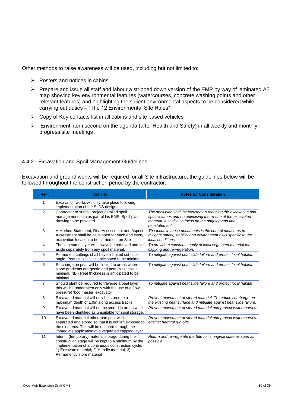Other methods to raise awareness will be used, including but not limited to:

- $\triangleright$  Posters and notices in cabins
- $\triangleright$  Prepare and issue all staff and labour a stripped down version of the EMP by way of laminated A5 map showing key environmental features (watercourses, concrete washing points and other relevant features) and highlighting the salient environmental aspects to be considered while carrying out duties – "The 12 Environmental Site Rules"
- $\triangleright$  Copy of Key contacts list in all cabins and site based vehicles
- $\triangleright$  'Environment' item second on the agenda (after Health and Safety) in all weekly and monthly progress site meetings

#### 4.4.2 Excavation and Spoil Management Guidelines

Excavation and ground works will be required for all Site infrastructure, the guidelines below will be followed throughout the construction period by the contractor.

| <b>Ref</b>     | <b>Activity</b>                                                                                                                                                                                                                            | <b>Notes for Consideration</b>                                                                                                                                                                           |
|----------------|--------------------------------------------------------------------------------------------------------------------------------------------------------------------------------------------------------------------------------------------|----------------------------------------------------------------------------------------------------------------------------------------------------------------------------------------------------------|
| $\mathbf{1}$   | Excavation works will only take place following<br>implementation of the SuDS design.                                                                                                                                                      |                                                                                                                                                                                                          |
| 2              | Contractor to submit project detailed spoil<br>management plan as part of his EMP. Spoil plan<br>drawing to be provided                                                                                                                    | The spoil plan shall be focused on reducing the excavation and<br>spoil volumes and on optimising the re-use of the excavated<br>material. It shall also focus on the ongoing and final<br>reinstatement |
| 3              | A Method Statement, Risk Assessment and Aspect<br>Assessment shall be developed for each and every<br>excavation location to be carried out on Site                                                                                        | The focus in these documents is the control measures to<br>mitigate safety, stability and environment risks specific to the<br>local conditions.                                                         |
| $\overline{4}$ | The vegetated layer will always be removed and set<br>aside separately from any spoil material.                                                                                                                                            | To provide a constant supply of local vegetated material for<br>capping and re-vegetation.                                                                                                               |
| 5              | Permanent cuttings shall have a limited cut face<br>angle. Peat thickness is anticipated to be minimal.                                                                                                                                    | To mitigate against peat slide failure and protect local habitat.                                                                                                                                        |
| 6              | Surcharge on peat will be limited to areas where<br>slope gradients are gentle and peat thickness is<br>minimal. NB - Peat thickness is anticipated to be<br>minimal.                                                                      | To mitigate against peat slide failure and protect local habitat.                                                                                                                                        |
| $\overline{7}$ | Should plant be required to traverse a peat layer<br>this will be undertaken only with the use of a (low<br>pressure) 'bog master' excavator                                                                                               | To mitigate against peat slide failure and protect local habitat                                                                                                                                         |
| 8              | Excavated material will only be stored to a<br>maximum depth of 1.0m along access tracks.                                                                                                                                                  | Prevent movement of stored material. To reduce surcharge on<br>the existing peat surface and mitigate against peat slide failure.                                                                        |
| 9              | Excavated material will not be stored in areas which<br>have been identified as unsuitable for spoil storage.                                                                                                                              | Prevent movement of stored material and protect watercourses.                                                                                                                                            |
| 10             | Excavated material other than peat will be<br>separated and stored so that it is not left exposed to<br>the elements. This will be ensured through the<br>immediate application of a vegetated capping layer.                              | Prevent movement of stored material and protect watercourses.<br>against harmful run offs                                                                                                                |
| 11             | Interim (temporary) material storage during the<br>construction stage will be kept to a minimum by the<br>implementation of a continuous construction cycle:<br>1) Excavate material; 2) Handle material; 3)<br>Permanently store material | Return and re-vegetate the Site to its original state as soon as<br>possible.                                                                                                                            |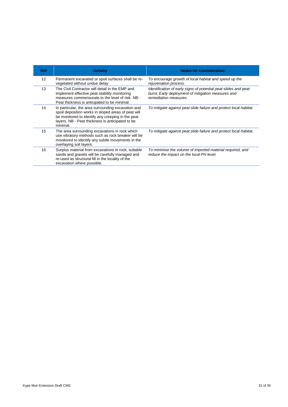| <b>Ref</b>        | <b>Activity</b>                                                                                                                                                                                                                | <b>Notes for Consideration</b>                                                                                                                 |
|-------------------|--------------------------------------------------------------------------------------------------------------------------------------------------------------------------------------------------------------------------------|------------------------------------------------------------------------------------------------------------------------------------------------|
| $12 \overline{ }$ | Permanent excavated or spoil surfaces shall be re-<br>vegetated without undue delay                                                                                                                                            | To encourage growth of local habitat and speed up the<br>rejuvenation process.                                                                 |
| 13                | The Civil Contractor will detail in the EMP and<br>implement effective peat stability monitoring<br>measures commensurate to the level of risk. NB -<br>Peat thickness is anticipated to be minimal.                           | Identification of early signs of potential peat slides and peat<br>burst: Early deployment of mitigation measures and<br>remediation measures. |
| 14                | In particular, the area surrounding excavation and<br>spoil deposition works in sloped areas of peat will<br>be monitored to identify any creeping in the peat<br>layers. NB - Peat thickness is anticipated to be<br>minimal. | To mitigate against peat slide failure and protect local habitat.                                                                              |
| 15                | The area surrounding excavations in rock which<br>use vibratory methods such as rock breaker will be<br>monitored to identify any subtle movements in the<br>overlaying soil layers.                                           | To mitigate against peat slide failure and protect local habitat.                                                                              |
| 16                | Surplus material from excavations in rock, suitable<br>sands and gravels will be carefully managed and<br>re-used as structural fill in the locality of the<br>excavation where possible.                                      | To minimise the volume of imported material required, and<br>reduce the impact on the local PH level.                                          |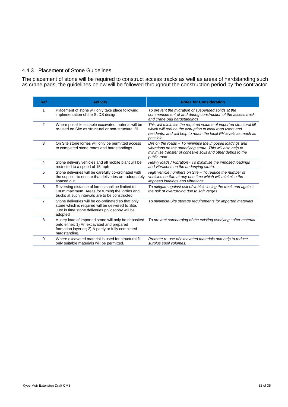#### 4.4.3 Placement of Stone Guidelines

The placement of stone will be required to construct access tracks as well as areas of hardstanding such as crane pads, the guidelines below will be followed throughout the construction period by the contractor.

| <b>Ref</b> | <b>Activity</b>                                                                                                                                                           | <b>Notes for Consideration</b>                                                                                                                                                                                   |
|------------|---------------------------------------------------------------------------------------------------------------------------------------------------------------------------|------------------------------------------------------------------------------------------------------------------------------------------------------------------------------------------------------------------|
| 1          | Placement of stone will only take place following<br>implementation of the SuDS design.                                                                                   | To prevent the migration of suspended solids at the<br>commencement of and during construction of the access track<br>and crane pad hardstandings                                                                |
| 2          | Where possible suitable excavated material will be<br>re-used on Site as structural or non-structural fill.                                                               | This will minimise the required volume of imported structural fill<br>which will reduce the disruption to local road users and<br>residents, and will help to retain the local PH levels as much as<br>possible. |
| 3          | On Site stone lorries will only be permitted access<br>to completed stone roads and hardstandings.                                                                        | Dirt on the roads – To minimise the imposed loadings and<br>vibrations on the underlying strata. This will also help to<br>minimise transfer of cohesive soils and other debris to the<br>public road.           |
| 4          | Stone delivery vehicles and all mobile plant will be<br>restricted to a speed of 15 mph                                                                                   | Heavy loads / Vibration - To minimise the imposed loadings<br>and vibrations on the underlying strata.                                                                                                           |
| 5          | Stone deliveries will be carefully co-ordinated with<br>the supplier to ensure that deliveries are adequately<br>spaced out.                                              | High vehicle numbers on Site - To reduce the number of<br>vehicles on Site at any one time which will minimise the<br>imposed loadings and vibrations.                                                           |
| 6          | Reversing distance of lorries shall be limited to<br>100m maximum. Areas for turning the lorries and<br>trucks at such intervals are to be constructed                    | To mitigate against risk of vehicle losing the track and against<br>the risk of overturning due to soft verges                                                                                                   |
| 7          | Stone deliveries will be co-ordinated so that only<br>stone which is required will be delivered to Site.<br>Just in time stone deliveries philosophy will be<br>adopted   | To minimise Site storage requirements for imported materials                                                                                                                                                     |
| 8          | A lorry load of imported stone will only be deposited<br>onto either; 1) An excavated and prepared<br>formation layer or; 2) A partly or fully completed<br>hardstanding. | To prevent surcharging of the existing overlying softer material                                                                                                                                                 |
| 9          | Where excavated material is used for structural fill<br>only suitable materials will be permitted.                                                                        | Promote re-use of excavated materials and help to reduce<br>surplus spoil volumes.                                                                                                                               |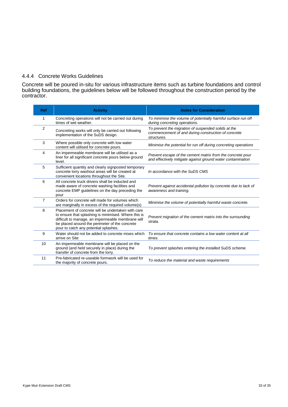# 4.4.4 Concrete Works Guidelines

Concrete will be poured in-situ for various infrastructure items such as turbine foundations and control building foundations, the guidelines below will be followed throughout the construction period by the contractor.

| <b>Ref</b>     | <b>Activity</b>                                                                                                                                                                                                                                            | <b>Notes for Consideration</b>                                                                                            |
|----------------|------------------------------------------------------------------------------------------------------------------------------------------------------------------------------------------------------------------------------------------------------------|---------------------------------------------------------------------------------------------------------------------------|
| 1              | Concreting operations will not be carried out during<br>times of wet weather.                                                                                                                                                                              | To minimise the volume of potentially harmful surface run off<br>during concreting operations.                            |
| $\overline{2}$ | Concreting works will only be carried out following<br>implementation of the SuDS design.                                                                                                                                                                  | To prevent the migration of suspended solids at the<br>commencement of and during construction of concrete<br>structures. |
| 3              | Where possible only concrete with low water<br>content will utilised for concrete pours.                                                                                                                                                                   | Minimise the potential for run off during concreting operations                                                           |
| 4              | An impermeable membrane will be utilised as a<br>liner for all significant concrete pours below ground<br>level.                                                                                                                                           | Prevent escape of the cement matrix from the concrete pour<br>and effectively mitigate against ground water contamination |
| 5              | Sufficient quantity and clearly signposted temporary<br>concrete lorry washout areas will be created at<br>convenient locations throughout the Site.                                                                                                       | In accordance with the SuDS CMS                                                                                           |
| 6              | All concrete truck drivers shall be inducted and<br>made aware of concrete washing facilities and<br>concrete EMP quidelines on the day preceding the<br>pour                                                                                              | Prevent against accidental pollution by concrete due to lack of<br>awareness and training.                                |
| $\overline{7}$ | Orders for concrete will made for volumes which<br>are marginally in excess of the required volume(s)                                                                                                                                                      | Minimise the volume of potentially harmful waste concrete.                                                                |
| 8              | Placement of concrete will be undertaken with care<br>to ensure that splashing is minimised. Where this is<br>difficult to manage, an impermeable membrane will<br>be placed around the perimeter of the concrete<br>pour to catch any potential splashes. | Prevent migration of the cement matrix into the surrounding<br>strata.                                                    |
| 9              | Water should not be added to concrete mixes which<br>arrive on Site                                                                                                                                                                                        | To ensure that concrete contains a low water content at all<br>times.                                                     |
| 10             | An impermeable membrane will be placed on the<br>ground (and held securely in place) during the<br>transfer of concrete from the lorry.                                                                                                                    | To prevent splashes entering the installed SuDS scheme.                                                                   |
| 11             | Pre-fabricated re-useable formwork will be used for<br>the majority of concrete pours.                                                                                                                                                                     | To reduce the material and waste requirements                                                                             |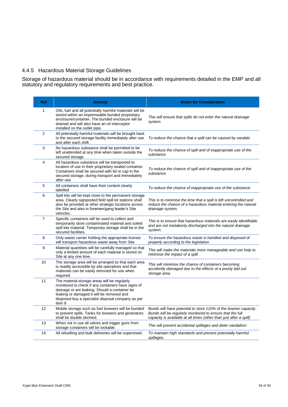# 4.4.5 Hazardous Material Storage Guidelines

Storage of hazardous material should be in accordance with requirements detailed in the EMP and all statutory and regulatory requirements and best practice.

| Ref            | <b>Activity</b>                                                                                                                                                                                                                                                | <b>Notes for Consideration</b>                                                                                                                                                                     |
|----------------|----------------------------------------------------------------------------------------------------------------------------------------------------------------------------------------------------------------------------------------------------------------|----------------------------------------------------------------------------------------------------------------------------------------------------------------------------------------------------|
| 1              | Oils, fuel and all potentially harmful materials will be<br>stored within an impermeable bunded proprietary<br>enclosure/container. The bunded enclosure will be<br>drained and will also have an oil interceptor<br>installed on the outlet pipe.             | This will ensure that spills do not enter the natural drainage<br>system                                                                                                                           |
| $\overline{2}$ | All potentially harmful materials will be brought back<br>to the secured storage facility immediately after use<br>and after each shift.                                                                                                                       | To reduce the chance that a spill can be caused by vandals                                                                                                                                         |
| 3              | No hazardous substance shall be permitted to be<br>left unattended at any time when taken outside the<br>secured storage.                                                                                                                                      | To reduce the chance of spill and of inappropriate use of the<br>substance                                                                                                                         |
| 4              | All hazardous substance will be transported to<br>location of use in their proprietary sealed container.<br>Containers shall be secured with lid or cap in the<br>secured storage, during transport and immediately<br>after use                               | To reduce the chance of spill and of inappropriate use of the<br>substance                                                                                                                         |
| 5              | All containers shall have their content clearly<br>labelled                                                                                                                                                                                                    | To reduce the chance of inappropriate use of the substance                                                                                                                                         |
| 6              | Spill kits will be kept close to the permanent storage<br>area. Clearly signposted field spill kit stations shall<br>also be provided at other strategic locations across<br>the Site and also in foremen/gang leader's Site<br>vehicles.                      | This is to minimise the time that a spill is left uncontrolled and<br>reduce the chance of a hazardous material entering the natural<br>drainage system.                                           |
| $\overline{7}$ | Specific containers will be used to collect and<br>temporarily store contaminated material and soiled<br>spill kits material. Temporary storage shall be in the<br>secured facilities.                                                                         | This is to ensure that hazardous materials are easily identifiable<br>and are not mistakenly discharged into the natural drainage<br>system.                                                       |
| 8              | Only waste carrier holding the appropriate license<br>will transport hazardous waste away from Site                                                                                                                                                            | To ensure the hazardous waste is handled and disposed of<br>properly according to the legislation                                                                                                  |
| 9              | Material quantities will be carefully managed so that<br>only a limited amount of each material is stored on<br>Site at any one time.                                                                                                                          | This will make the materials more manageable and can help to<br>minimise the impact of a spill.                                                                                                    |
| 10             | The storage area will be arranged so that each area<br>is readily accessible by site operatives and that<br>materials can be easily removed for use when<br>required.                                                                                          | This will minimise the chance of containers becoming<br>accidently damaged due to the effects of a poorly laid out<br>storage area.                                                                |
| 11             | The material storage areas will be regularly<br>monitored to check if any containers have signs of<br>damage or are leaking. Should a container be<br>leaking or damaged it will be removed and<br>disposed buy a specialist disposal company as per<br>item 8 |                                                                                                                                                                                                    |
| 12             | Mobile storage such as fuel bowsers will be bunded<br>to prevent spills. Tanks for bowsers and generators<br>shall be double skinned.                                                                                                                          | Bunds will have potential to store 110% of the bowser capacity.<br>Bunds will be regularly monitored to ensure that the full<br>capacity is available at all times (other than just after a spill) |
| 13             | When not in use all valves and trigger guns from<br>storage containers will be lockable.                                                                                                                                                                       | This will prevent accidental spillages and deter vandalism                                                                                                                                         |
| 14             | All refuelling and bulk deliveries will be supervised.                                                                                                                                                                                                         | To maintain high standards and prevent potentially harmful<br>spillages.                                                                                                                           |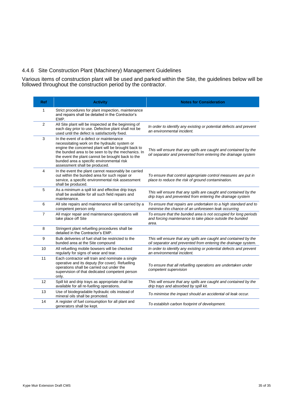# 4.4.6 Site Construction Plant (Machinery) Management Guidelines

Various items of construction plant will be used and parked within the Site, the guidelines below will be followed throughout the construction period by the contractor.

| Ref            | <b>Activity</b>                                                                                                                                                                                                                                                                                                                         | <b>Notes for Consideration</b>                                                                                                       |
|----------------|-----------------------------------------------------------------------------------------------------------------------------------------------------------------------------------------------------------------------------------------------------------------------------------------------------------------------------------------|--------------------------------------------------------------------------------------------------------------------------------------|
| $\mathbf{1}$   | Strict procedures for plant inspection, maintenance<br>and repairs shall be detailed in the Contractor's<br>EMP.                                                                                                                                                                                                                        |                                                                                                                                      |
| $\overline{2}$ | All Site plant will be inspected at the beginning of<br>each day prior to use. Defective plant shall not be<br>used until the defect is satisfactorily fixed.                                                                                                                                                                           | In order to identify any existing or potential defects and prevent<br>an environmental incident.                                     |
| 3              | In the event of a defect or maintenance<br>necessitating work on the hydraulic system or<br>engine the concerned plant will be brought back to<br>the bunded area to be seen to by the mechanics. In<br>the event the plant cannot be brought back to the<br>bunded area a specific environmental risk<br>assessment shall be produced. | This will ensure that any spills are caught and contained by the<br>oil separator and prevented from entering the drainage system    |
| 4              | In the event the plant cannot reasonably be carried<br>out within the bunded area for such repair or<br>service, a specific environmental risk assessment<br>shall be produced.                                                                                                                                                         | To ensure that control appropriate control measures are put in<br>place to reduce the risk of ground contamination.                  |
| 5              | As a minimum a spill kit and effective drip trays<br>shall be available for all such field repairs and<br>maintenance.                                                                                                                                                                                                                  | This will ensure that any spills are caught and contained by the<br>drip trays and prevented from entering the drainage system       |
| 6              | All site repairs and maintenance will be carried by a<br>competent person only                                                                                                                                                                                                                                                          | To ensure that repairs are undertaken to a high standard and to<br>minimise the chance of an unforeseen leak occurring               |
| $\overline{7}$ | All major repair and maintenance operations will<br>take place off Site                                                                                                                                                                                                                                                                 | To ensure that the bunded area is not occupied for long periods<br>and forcing maintenance to take place outside the bunded<br>area. |
| 8              | Stringent plant refuelling procedures shall be<br>detailed in the Contractor's EMP.                                                                                                                                                                                                                                                     |                                                                                                                                      |
| 9              | Bulk deliveries of fuel shall be restricted to the<br>bunded area at the Site compound                                                                                                                                                                                                                                                  | This will ensure that any spills are caught and contained by the<br>oil separator and prevented from entering the drainage system.   |
| 10             | All refuelling mobile bowsers will be checked<br>regularly for signs of wear and tear.                                                                                                                                                                                                                                                  | In order to identify any existing or potential defects and prevent<br>an environmental incident.                                     |
| 11             | Each contractor will train and nominate a single<br>operative and its deputy (for cover). Refuelling<br>operations shall be carried out under the<br>supervision of that dedicated competent person<br>only.                                                                                                                            | To ensure that all refuelling operations are undertaken under<br>competent supervision                                               |
| 12             | Spill kit and drip trays as appropriate shall be<br>available for all re-fuelling operations.                                                                                                                                                                                                                                           | This will ensure that any spills are caught and contained by the<br>drip trays and absorbed by spill kit.                            |
| 13             | Use of biodegradable hydraulic oils instead of<br>mineral oils shall be promoted.                                                                                                                                                                                                                                                       | To minimise the impact should an accidental oil leak occur.                                                                          |
| 14             | A register of fuel consumption for all plant and<br>generators shall be kept.                                                                                                                                                                                                                                                           | To establish carbon footprint of development.                                                                                        |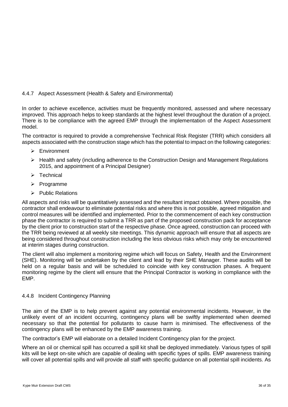# 4.4.7 Aspect Assessment (Health & Safety and Environmental)

In order to achieve excellence, activities must be frequently monitored, assessed and where necessary improved. This approach helps to keep standards at the highest level throughout the duration of a project. There is to be compliance with the agreed EMP through the implementation of the Aspect Assessment model.

The contractor is required to provide a comprehensive Technical Risk Register (TRR) which considers all aspects associated with the construction stage which has the potential to impact on the following categories:

- Environment
- Health and safety (including adherence to the Construction Design and Management Regulations 2015, and appointment of a Principal Designer)
- $\triangleright$  Technical
- $\triangleright$  Programme
- $\triangleright$  Public Relations

All aspects and risks will be quantitatively assessed and the resultant impact obtained. Where possible, the contractor shall endeavour to eliminate potential risks and where this is not possible, agreed mitigation and control measures will be identified and implemented. Prior to the commencement of each key construction phase the contractor is required to submit a TRR as part of the proposed construction pack for acceptance by the client prior to construction start of the respective phase. Once agreed, construction can proceed with the TRR being reviewed at all weekly site meetings. This dynamic approach will ensure that all aspects are being considered throughout construction including the less obvious risks which may only be encountered at interim stages during construction.

The client will also implement a monitoring regime which will focus on Safety, Health and the Environment (SHE). Monitoring will be undertaken by the client and lead by their SHE Manager. These audits will be held on a regular basis and will be scheduled to coincide with key construction phases. A frequent monitoring regime by the client will ensure that the Principal Contractor is working in compliance with the EMP.

#### 4.4.8 Incident Contingency Planning

The aim of the EMP is to help prevent against any potential environmental incidents. However, in the unlikely event of an incident occurring, contingency plans will be swiftly implemented when deemed necessary so that the potential for pollutants to cause harm is minimised. The effectiveness of the contingency plans will be enhanced by the EMP awareness training.

The contractor's EMP will elaborate on a detailed Incident Contingency plan for the project.

Where an oil or chemical spill has occurred a spill kit shall be deployed immediately. Various types of spill kits will be kept on-site which are capable of dealing with specific types of spills. EMP awareness training will cover all potential spills and will provide all staff with specific guidance on all potential spill incidents. As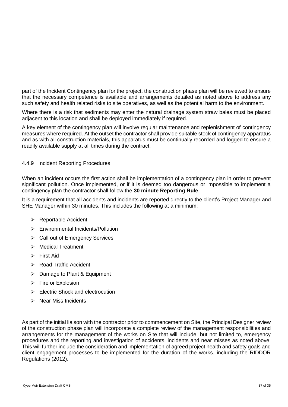part of the Incident Contingency plan for the project, the construction phase plan will be reviewed to ensure that the necessary competence is available and arrangements detailed as noted above to address any such safety and health related risks to site operatives, as well as the potential harm to the environment.

Where there is a risk that sediments may enter the natural drainage system straw bales must be placed adjacent to this location and shall be deployed immediately if required.

A key element of the contingency plan will involve regular maintenance and replenishment of contingency measures where required. At the outset the contractor shall provide suitable stock of contingency apparatus and as with all construction materials, this apparatus must be continually recorded and logged to ensure a readily available supply at all times during the contract.

#### 4.4.9 Incident Reporting Procedures

When an incident occurs the first action shall be implementation of a contingency plan in order to prevent significant pollution. Once implemented, or if it is deemed too dangerous or impossible to implement a contingency plan the contractor shall follow the **30 minute Reporting Rule**.

It is a requirement that all accidents and incidents are reported directly to the client's Project Manager and SHE Manager within 30 minutes. This includes the following at a minimum:

- ▶ Reportable Accident
- Environmental Incidents/Pollution
- $\triangleright$  Call out of Emergency Services
- > Medical Treatment
- $\triangleright$  First Aid
- **EXACCIOE ROAD Traffic Accident**
- **▶ Damage to Plant & Equipment**
- $\triangleright$  Fire or Explosion
- $\triangleright$  Electric Shock and electrocution
- $\triangleright$  Near Miss Incidents

As part of the initial liaison with the contractor prior to commencement on Site, the Principal Designer review of the construction phase plan will incorporate a complete review of the management responsibilities and arrangements for the management of the works on Site that will include, but not limited to, emergency procedures and the reporting and investigation of accidents, incidents and near misses as noted above. This will further include the consideration and implementation of agreed project health and safety goals and client engagement processes to be implemented for the duration of the works, including the RIDDOR Regulations (2012).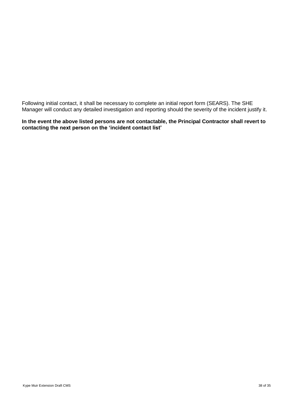Following initial contact, it shall be necessary to complete an initial report form (SEARS). The SHE Manager will conduct any detailed investigation and reporting should the severity of the incident justify it.

#### **In the event the above listed persons are not contactable, the Principal Contractor shall revert to contacting the next person on the 'incident contact list'**